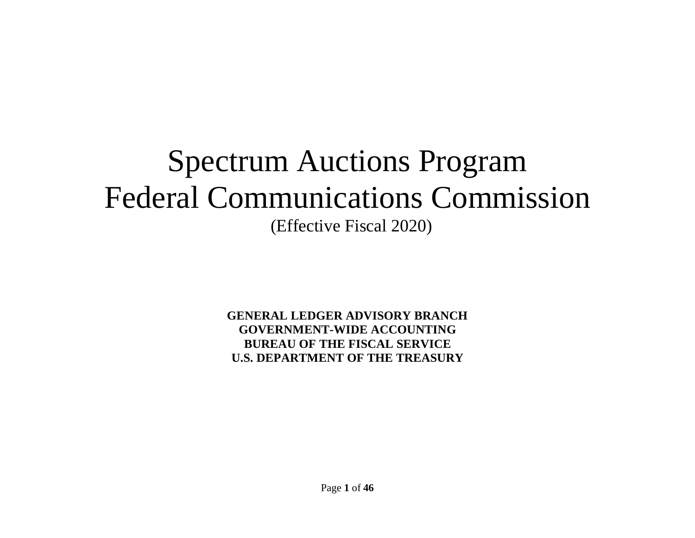# Spectrum Auctions Program Federal Communications Commission (Effective Fiscal 2020)

**GENERAL LEDGER ADVISORY BRANCH GOVERNMENT-WIDE ACCOUNTING BUREAU OF THE FISCAL SERVICE U.S. DEPARTMENT OF THE TREASURY**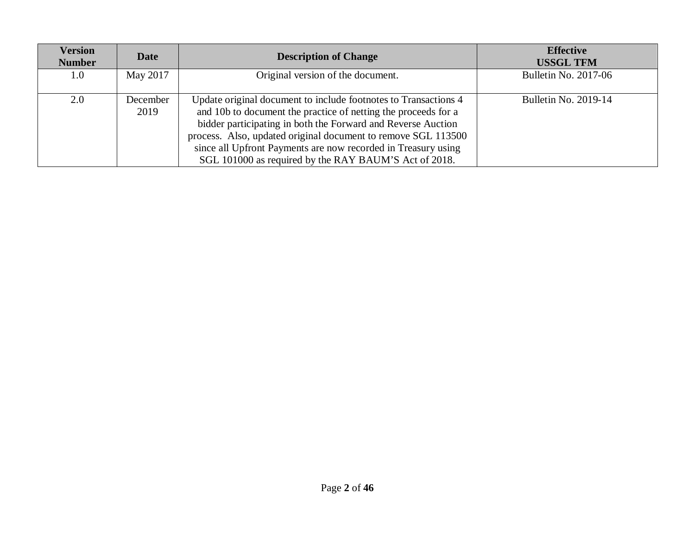| <b>Version</b><br><b>Number</b> | <b>Date</b>      | <b>Description of Change</b>                                                                                                                                                                                                                                                                                                                                                                 | <b>Effective</b><br><b>USSGL TFM</b> |
|---------------------------------|------------------|----------------------------------------------------------------------------------------------------------------------------------------------------------------------------------------------------------------------------------------------------------------------------------------------------------------------------------------------------------------------------------------------|--------------------------------------|
| 1.0                             | May 2017         | Original version of the document.                                                                                                                                                                                                                                                                                                                                                            | <b>Bulletin No. 2017-06</b>          |
| 2.0                             | December<br>2019 | Update original document to include footnotes to Transactions 4<br>and 10b to document the practice of netting the proceeds for a<br>bidder participating in both the Forward and Reverse Auction<br>process. Also, updated original document to remove SGL 113500<br>since all Upfront Payments are now recorded in Treasury using<br>SGL 101000 as required by the RAY BAUM'S Act of 2018. | <b>Bulletin No. 2019-14</b>          |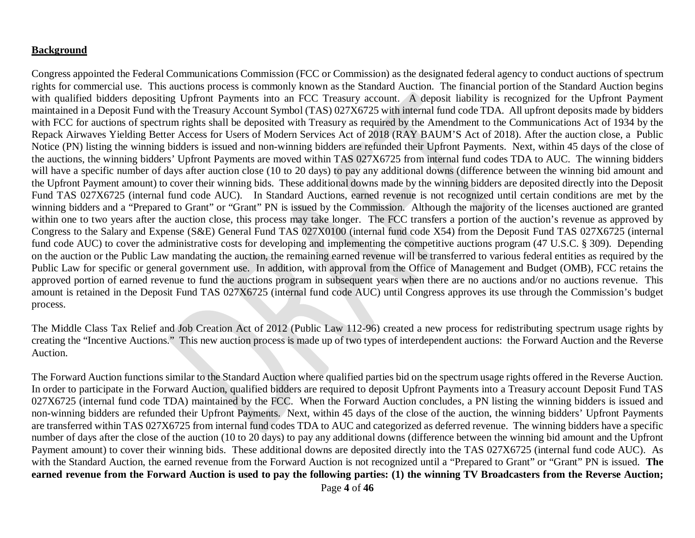#### **Background**

Congress appointed the Federal Communications Commission (FCC or Commission) as the designated federal agency to conduct auctions of spectrum rights for commercial use. This auctions process is commonly known as the Standard Auction. The financial portion of the Standard Auction begins with qualified bidders depositing Upfront Payments into an FCC Treasury account. A deposit liability is recognized for the Upfront Payment maintained in a Deposit Fund with the Treasury Account Symbol (TAS) 027X6725 with internal fund code TDA. All upfront deposits made by bidders with FCC for auctions of spectrum rights shall be deposited with Treasury as required by the Amendment to the Communications Act of 1934 by the Repack Airwaves Yielding Better Access for Users of Modern Services Act of 2018 (RAY BAUM'S Act of 2018). After the auction close, a Public Notice (PN) listing the winning bidders is issued and non-winning bidders are refunded their Upfront Payments. Next, within 45 days of the close of the auctions, the winning bidders' Upfront Payments are moved within TAS 027X6725 from internal fund codes TDA to AUC. The winning bidders will have a specific number of days after auction close (10 to 20 days) to pay any additional downs (difference between the winning bid amount and the Upfront Payment amount) to cover their winning bids. These additional downs made by the winning bidders are deposited directly into the Deposit Fund TAS 027X6725 (internal fund code AUC). In Standard Auctions, earned revenue is not recognized until certain conditions are met by the winning bidders and a "Prepared to Grant" or "Grant" PN is issued by the Commission. Although the majority of the licenses auctioned are granted within one to two years after the auction close, this process may take longer. The FCC transfers a portion of the auction's revenue as approved by Congress to the Salary and Expense (S&E) General Fund TAS 027X0100 (internal fund code X54) from the Deposit Fund TAS 027X6725 (internal fund code AUC) to cover the administrative costs for developing and implementing the competitive auctions program (47 U.S.C. § 309). Depending on the auction or the Public Law mandating the auction, the remaining earned revenue will be transferred to various federal entities as required by the Public Law for specific or general government use. In addition, with approval from the Office of Management and Budget (OMB), FCC retains the approved portion of earned revenue to fund the auctions program in subsequent years when there are no auctions and/or no auctions revenue. This amount is retained in the Deposit Fund TAS 027X6725 (internal fund code AUC) until Congress approves its use through the Commission's budget process.

The Middle Class Tax Relief and Job Creation Act of 2012 (Public Law 112-96) created a new process for redistributing spectrum usage rights by creating the "Incentive Auctions." This new auction process is made up of two types of interdependent auctions: the Forward Auction and the Reverse Auction.

The Forward Auction functions similar to the Standard Auction where qualified parties bid on the spectrum usage rights offered in the Reverse Auction. In order to participate in the Forward Auction, qualified bidders are required to deposit Upfront Payments into a Treasury account Deposit Fund TAS 027X6725 (internal fund code TDA) maintained by the FCC. When the Forward Auction concludes, a PN listing the winning bidders is issued and non-winning bidders are refunded their Upfront Payments. Next, within 45 days of the close of the auction, the winning bidders' Upfront Payments are transferred within TAS 027X6725 from internal fund codes TDA to AUC and categorized as deferred revenue. The winning bidders have a specific number of days after the close of the auction (10 to 20 days) to pay any additional downs (difference between the winning bid amount and the Upfront Payment amount) to cover their winning bids. These additional downs are deposited directly into the TAS 027X6725 (internal fund code AUC). As with the Standard Auction, the earned revenue from the Forward Auction is not recognized until a "Prepared to Grant" or "Grant" PN is issued. **The earned revenue from the Forward Auction is used to pay the following parties: (1) the winning TV Broadcasters from the Reverse Auction;**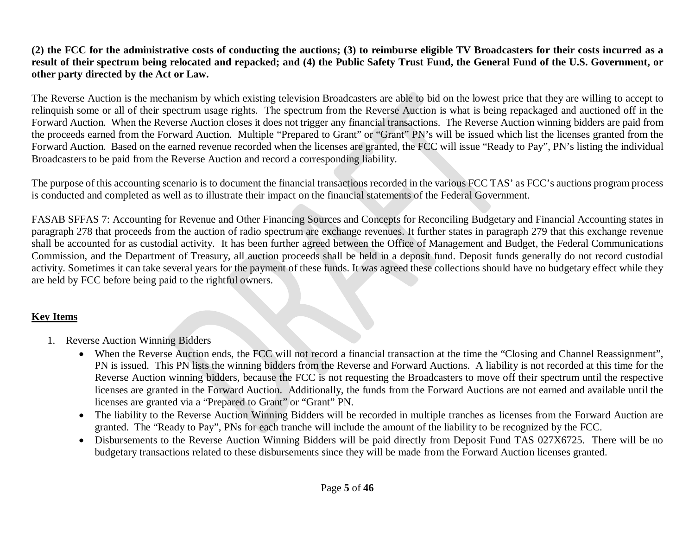## **(2) the FCC for the administrative costs of conducting the auctions; (3) to reimburse eligible TV Broadcasters for their costs incurred as a result of their spectrum being relocated and repacked; and (4) the Public Safety Trust Fund, the General Fund of the U.S. Government, or other party directed by the Act or Law.**

The Reverse Auction is the mechanism by which existing television Broadcasters are able to bid on the lowest price that they are willing to accept to relinquish some or all of their spectrum usage rights. The spectrum from the Reverse Auction is what is being repackaged and auctioned off in the Forward Auction. When the Reverse Auction closes it does not trigger any financial transactions. The Reverse Auction winning bidders are paid from the proceeds earned from the Forward Auction. Multiple "Prepared to Grant" or "Grant" PN's will be issued which list the licenses granted from the Forward Auction. Based on the earned revenue recorded when the licenses are granted, the FCC will issue "Ready to Pay", PN's listing the individual Broadcasters to be paid from the Reverse Auction and record a corresponding liability.

The purpose of this accounting scenario is to document the financial transactions recorded in the various FCC TAS' as FCC's auctions program process is conducted and completed as well as to illustrate their impact on the financial statements of the Federal Government.

FASAB SFFAS 7: Accounting for Revenue and Other Financing Sources and Concepts for Reconciling Budgetary and Financial Accounting states in paragraph 278 that proceeds from the auction of radio spectrum are exchange revenues. It further states in paragraph 279 that this exchange revenue shall be accounted for as custodial activity. It has been further agreed between the Office of Management and Budget, the Federal Communications Commission, and the Department of Treasury, all auction proceeds shall be held in a deposit fund. Deposit funds generally do not record custodial activity. Sometimes it can take several years for the payment of these funds. It was agreed these collections should have no budgetary effect while they are held by FCC before being paid to the rightful owners.

## **Key Items**

- 1. Reverse Auction Winning Bidders
	- When the Reverse Auction ends, the FCC will not record a financial transaction at the time the "Closing and Channel Reassignment", PN is issued. This PN lists the winning bidders from the Reverse and Forward Auctions. A liability is not recorded at this time for the Reverse Auction winning bidders, because the FCC is not requesting the Broadcasters to move off their spectrum until the respective licenses are granted in the Forward Auction. Additionally, the funds from the Forward Auctions are not earned and available until the licenses are granted via a "Prepared to Grant" or "Grant" PN.
	- The liability to the Reverse Auction Winning Bidders will be recorded in multiple tranches as licenses from the Forward Auction are granted. The "Ready to Pay", PNs for each tranche will include the amount of the liability to be recognized by the FCC.
	- Disbursements to the Reverse Auction Winning Bidders will be paid directly from Deposit Fund TAS 027X6725. There will be no budgetary transactions related to these disbursements since they will be made from the Forward Auction licenses granted.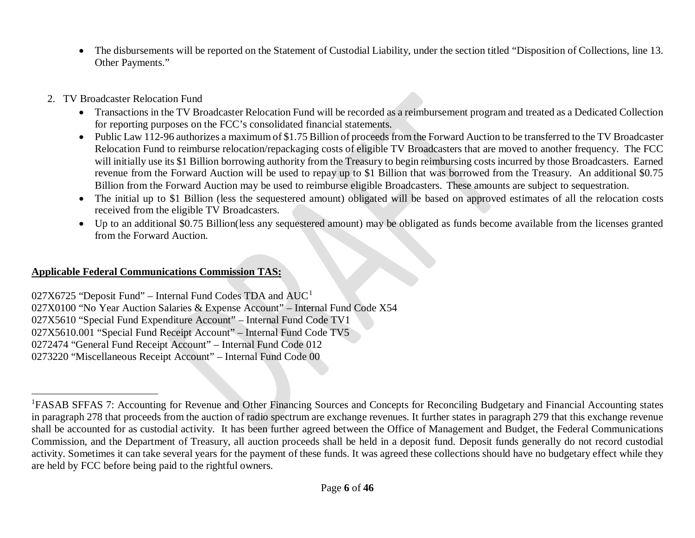- <span id="page-5-0"></span>• The disbursements will be reported on the Statement of Custodial Liability, under the section titled "Disposition of Collections, line 13. Other Payments."
- 2. TV Broadcaster Relocation Fund
	- Transactions in the TV Broadcaster Relocation Fund will be recorded as a reimbursement program and treated as a Dedicated Collection for reporting purposes on the FCC's consolidated financial statements.
	- Public Law 112-96 authorizes a maximum of \$1.75 Billion of proceeds from the Forward Auction to be transferred to the TV Broadcaster Relocation Fund to reimburse relocation/repackaging costs of eligible TV Broadcasters that are moved to another frequency. The FCC will initially use its \$1 Billion borrowing authority from the Treasury to begin reimbursing costs incurred by those Broadcasters. Earned revenue from the Forward Auction will be used to repay up to \$1 Billion that was borrowed from the Treasury. An additional \$0.75 Billion from the Forward Auction may be used to reimburse eligible Broadcasters. These amounts are subject to sequestration.
	- The initial up to \$1 Billion (less the sequestered amount) obligated will be based on approved estimates of all the relocation costs received from the eligible TV Broadcasters.
	- Up to an additional \$0.75 Billion(less any sequestered amount) may be obligated as funds become available from the licenses granted from the Forward Auction.

# **Applicable Federal Communications Commission TAS:**

 $027X6725$  "Deposit Fund" – Internal Fund Codes TDA and  $AUC<sup>1</sup>$  $AUC<sup>1</sup>$  $AUC<sup>1</sup>$ 027X0100 "No Year Auction Salaries & Expense Account" – Internal Fund Code X54 027X5610 "Special Fund Expenditure Account" – Internal Fund Code TV1 027X5610.001 "Special Fund Receipt Account" – Internal Fund Code TV5 0272474 "General Fund Receipt Account" – Internal Fund Code 012 0273220 "Miscellaneous Receipt Account" – Internal Fund Code 00

 $\frac{1}{1}$ <sup>1</sup>FASAB SFFAS 7: Accounting for Revenue and Other Financing Sources and Concepts for Reconciling Budgetary and Financial Accounting states in paragraph 278 that proceeds from the auction of radio spectrum are exchange revenues. It further states in paragraph 279 that this exchange revenue shall be accounted for as custodial activity. It has been further agreed between the Office of Management and Budget, the Federal Communications Commission, and the Department of Treasury, all auction proceeds shall be held in a deposit fund. Deposit funds generally do not record custodial activity. Sometimes it can take several years for the payment of these funds. It was agreed these collections should have no budgetary effect while they are held by FCC before being paid to the rightful owners.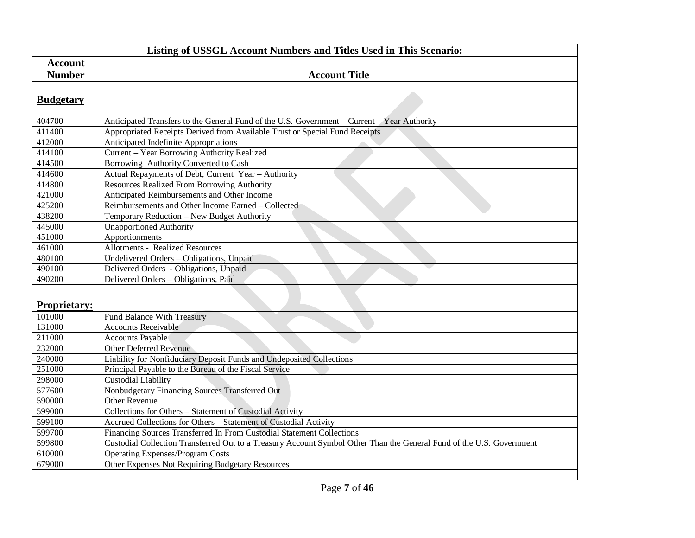|                     | Listing of USSGL Account Numbers and Titles Used in This Scenario:                                                   |  |  |
|---------------------|----------------------------------------------------------------------------------------------------------------------|--|--|
| <b>Account</b>      |                                                                                                                      |  |  |
| <b>Number</b>       | <b>Account Title</b>                                                                                                 |  |  |
|                     |                                                                                                                      |  |  |
| <b>Budgetary</b>    |                                                                                                                      |  |  |
|                     |                                                                                                                      |  |  |
| 404700              | Anticipated Transfers to the General Fund of the U.S. Government – Current – Year Authority                          |  |  |
| 411400              | Appropriated Receipts Derived from Available Trust or Special Fund Receipts                                          |  |  |
| 412000              | Anticipated Indefinite Appropriations                                                                                |  |  |
| 414100              | Current - Year Borrowing Authority Realized                                                                          |  |  |
| 414500              | Borrowing Authority Converted to Cash                                                                                |  |  |
| 414600              | Actual Repayments of Debt, Current Year - Authority                                                                  |  |  |
| 414800              | <b>Resources Realized From Borrowing Authority</b>                                                                   |  |  |
| 421000              | Anticipated Reimbursements and Other Income                                                                          |  |  |
| 425200              | Reimbursements and Other Income Earned - Collected                                                                   |  |  |
| 438200              | Temporary Reduction - New Budget Authority                                                                           |  |  |
| 445000              | <b>Unapportioned Authority</b>                                                                                       |  |  |
| 451000              | Apportionments                                                                                                       |  |  |
| 461000              | <b>Allotments - Realized Resources</b>                                                                               |  |  |
| 480100              | Undelivered Orders - Obligations, Unpaid                                                                             |  |  |
| 490100              | e e<br>Delivered Orders - Obligations, Unpaid                                                                        |  |  |
| 490200              | Delivered Orders - Obligations, Paid                                                                                 |  |  |
|                     |                                                                                                                      |  |  |
| <b>Proprietary:</b> |                                                                                                                      |  |  |
| 101000              | <b>Fund Balance With Treasury</b>                                                                                    |  |  |
| 131000              | <b>Accounts Receivable</b>                                                                                           |  |  |
| 211000              | <b>Accounts Payable</b>                                                                                              |  |  |
| 232000              | <b>Other Deferred Revenue</b>                                                                                        |  |  |
| 240000              | Liability for Nonfiduciary Deposit Funds and Undeposited Collections                                                 |  |  |
| 251000              | Principal Payable to the Bureau of the Fiscal Service                                                                |  |  |
| 298000              | <b>Custodial Liability</b>                                                                                           |  |  |
| 577600              | Nonbudgetary Financing Sources Transferred Out                                                                       |  |  |
| 590000              | Other Revenue                                                                                                        |  |  |
| 599000              | Collections for Others - Statement of Custodial Activity                                                             |  |  |
| 599100              | Accrued Collections for Others - Statement of Custodial Activity                                                     |  |  |
| 599700              | Financing Sources Transferred In From Custodial Statement Collections                                                |  |  |
| 599800              | Custodial Collection Transferred Out to a Treasury Account Symbol Other Than the General Fund of the U.S. Government |  |  |
| 610000              | <b>Operating Expenses/Program Costs</b>                                                                              |  |  |
| 679000              | Other Expenses Not Requiring Budgetary Resources                                                                     |  |  |
|                     |                                                                                                                      |  |  |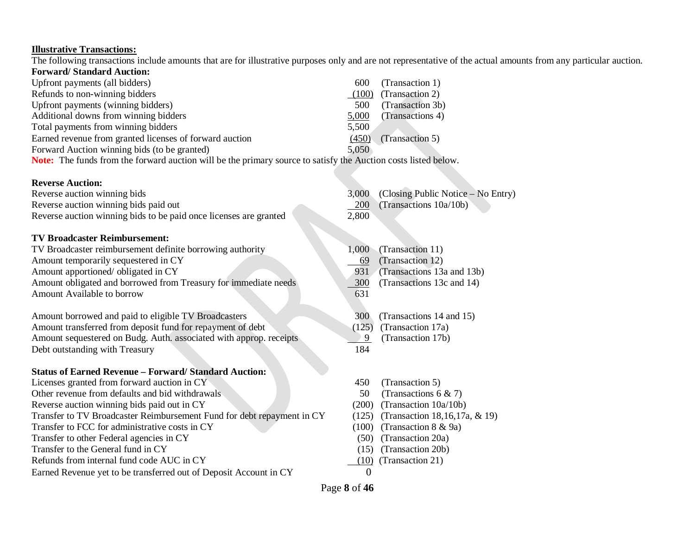#### **Illustrative Transactions:**

The following transactions include amounts that are for illustrative purposes only and are not representative of the actual amounts from any particular auction.

| <b>Forward/Standard Auction:</b>                                                                                      |       |                  |  |  |  |  |
|-----------------------------------------------------------------------------------------------------------------------|-------|------------------|--|--|--|--|
| Upfront payments (all bidders)                                                                                        | 600   | (Transaction 1)  |  |  |  |  |
| Refunds to non-winning bidders                                                                                        | (100) | (Transaction 2)  |  |  |  |  |
| Upfront payments (winning bidders)                                                                                    | 500   | (Transaction 3b) |  |  |  |  |
| Additional downs from winning bidders                                                                                 | 5,000 | (Transactions 4) |  |  |  |  |
| Total payments from winning bidders                                                                                   | 5,500 |                  |  |  |  |  |
| Earned revenue from granted licenses of forward auction                                                               | (450) | (Transaction 5)  |  |  |  |  |
| Forward Auction winning bids (to be granted)                                                                          | 5,050 |                  |  |  |  |  |
| <b>Note:</b> The funds from the forward auction will be the primary source to satisfy the Auction costs listed below. |       |                  |  |  |  |  |

# **Reverse Auction:**<br>**Poverse auction winning bids**

| <b>Reverse Auction:</b>                                                |       |                                    |
|------------------------------------------------------------------------|-------|------------------------------------|
| Reverse auction winning bids                                           | 3,000 | (Closing Public Notice – No Entry) |
|                                                                        |       |                                    |
| Reverse auction winning bids paid out                                  | 200   | (Transactions 10a/10b)             |
| Reverse auction winning bids to be paid once licenses are granted      | 2,800 |                                    |
| <b>TV Broadcaster Reimbursement:</b>                                   |       |                                    |
|                                                                        |       |                                    |
| TV Broadcaster reimbursement definite borrowing authority              | 1,000 | (Transaction 11)                   |
| Amount temporarily sequestered in CY                                   | 69    | (Transaction 12)                   |
| Amount apportioned/ obligated in CY                                    | 931   | (Transactions 13a and 13b)         |
| Amount obligated and borrowed from Treasury for immediate needs        | 300   | (Transactions 13c and 14)          |
| Amount Available to borrow                                             | 631   |                                    |
|                                                                        |       |                                    |
| Amount borrowed and paid to eligible TV Broadcasters                   | 300   | (Transactions 14 and 15)           |
| Amount transferred from deposit fund for repayment of debt             | (125) | (Transaction 17a)                  |
| Amount sequestered on Budg. Auth. associated with approp. receipts     | 9     | (Transaction 17b)                  |
| Debt outstanding with Treasury                                         | 184   |                                    |
|                                                                        |       |                                    |
| <b>Status of Earned Revenue - Forward/ Standard Auction:</b>           |       |                                    |
| Licenses granted from forward auction in CY                            | 450   | (Transaction 5)                    |
| Other revenue from defaults and bid withdrawals                        | 50    | (Transactions 6 & 7)               |
| Reverse auction winning bids paid out in CY                            | (200) | (Transaction 10a/10b)              |
| Transfer to TV Broadcaster Reimbursement Fund for debt repayment in CY | (125) | (Transaction 18,16,17a, & 19)      |
| Transfer to FCC for administrative costs in CY                         | (100) | (Transaction 8 & 9a)               |
| Transfer to other Federal agencies in CY                               | (50)  | (Transaction 20a)                  |
| Transfer to the General fund in CY                                     | (15)  | (Transaction 20b)                  |

Refunds from internal fund code AUC in CY (10) (Transaction 21)

Earned Revenue yet to be transferred out of Deposit Account in CY 0

Page **8** of **46**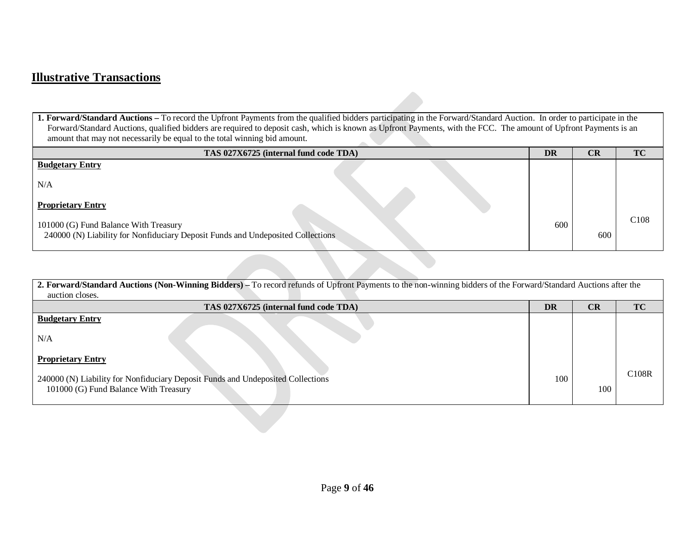# **Illustrative Transactions**

**1. Forward/Standard Auctions –** To record the Upfront Payments from the qualified bidders participating in the Forward/Standard Auction. In order to participate in the Forward/Standard Auctions, qualified bidders are required to deposit cash, which is known as Upfront Payments, with the FCC. The amount of Upfront Payments is an amount that may not necessarily be equal to the total winning bid amount.  $\overline{\phantom{a}}$ 

| TAS 027X6725 (internal fund code TDA)                                                                                    | <b>DR</b> | CR  | TC               |
|--------------------------------------------------------------------------------------------------------------------------|-----------|-----|------------------|
| <b>Budgetary Entry</b>                                                                                                   |           |     |                  |
| N/A                                                                                                                      |           |     |                  |
| <b>Proprietary Entry</b>                                                                                                 |           |     |                  |
| 101000 (G) Fund Balance With Treasury<br>240000 (N) Liability for Nonfiduciary Deposit Funds and Undeposited Collections | 600       | 600 | C <sub>108</sub> |
|                                                                                                                          |           |     |                  |

| 2. Forward/Standard Auctions (Non-Winning Bidders) – To record refunds of Upfront Payments to the non-winning bidders of the Forward/Standard Auctions after the |           |     |           |
|------------------------------------------------------------------------------------------------------------------------------------------------------------------|-----------|-----|-----------|
| auction closes.                                                                                                                                                  |           |     |           |
| TAS 027X6725 (internal fund code TDA)                                                                                                                            | <b>DR</b> | CR  | <b>TC</b> |
| <b>Budgetary Entry</b>                                                                                                                                           |           |     |           |
| N/A                                                                                                                                                              |           |     |           |
| <b>Proprietary Entry</b>                                                                                                                                         |           |     |           |
| 240000 (N) Liability for Nonfiduciary Deposit Funds and Undeposited Collections                                                                                  | 100       |     | C108R     |
| 101000 (G) Fund Balance With Treasury                                                                                                                            |           | 100 |           |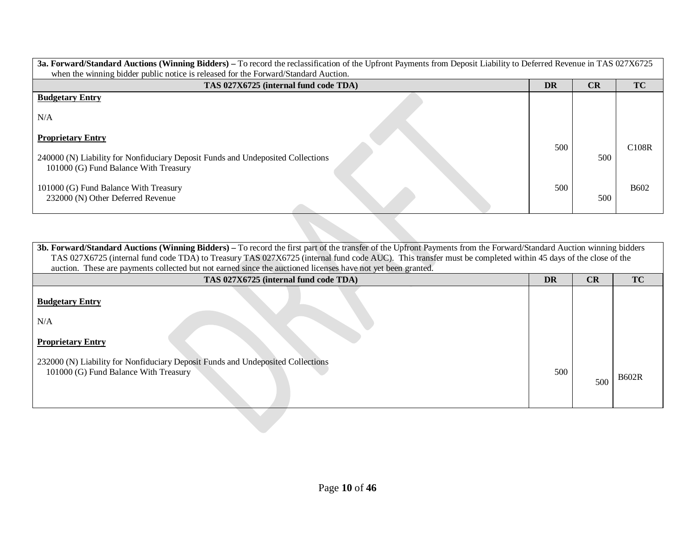| 3a. Forward/Standard Auctions (Winning Bidders) – To record the reclassification of the Upfront Payments from Deposit Liability to Deferred Revenue in TAS 027X6725<br>when the winning bidder public notice is released for the Forward/Standard Auction. |     |     |                    |
|------------------------------------------------------------------------------------------------------------------------------------------------------------------------------------------------------------------------------------------------------------|-----|-----|--------------------|
| TAS 027X6725 (internal fund code TDA)                                                                                                                                                                                                                      | DR  | CR  | TC                 |
| <b>Budgetary Entry</b>                                                                                                                                                                                                                                     |     |     |                    |
| N/A                                                                                                                                                                                                                                                        |     |     |                    |
| <b>Proprietary Entry</b>                                                                                                                                                                                                                                   |     |     |                    |
|                                                                                                                                                                                                                                                            | 500 |     | C <sub>108</sub> R |
| 240000 (N) Liability for Nonfiduciary Deposit Funds and Undeposited Collections<br>101000 (G) Fund Balance With Treasury                                                                                                                                   |     | 500 |                    |
| 101000 (G) Fund Balance With Treasury<br>232000 (N) Other Deferred Revenue                                                                                                                                                                                 | 500 | 500 | <b>B602</b>        |
|                                                                                                                                                                                                                                                            |     |     |                    |

**3b. Forward/Standard Auctions (Winning Bidders) –** To record the first part of the transfer of the Upfront Payments from the Forward/Standard Auction winning bidders TAS 027X6725 (internal fund code TDA) to Treasury TAS 027X6725 (internal fund code AUC). This transfer must be completed within 45 days of the close of the auction. These are payments collected but not earned since the auctioned licenses have not yet been granted. **TAS 027X6725 (internal fund code TDA) DR CR TC Budgetary Entry** N/A **Proprietary Entry** 232000 (N) Liability for Nonfiduciary Deposit Funds and Undeposited Collections 101000 (G) Fund Balance With Treasury 500 <sup>500</sup> B602R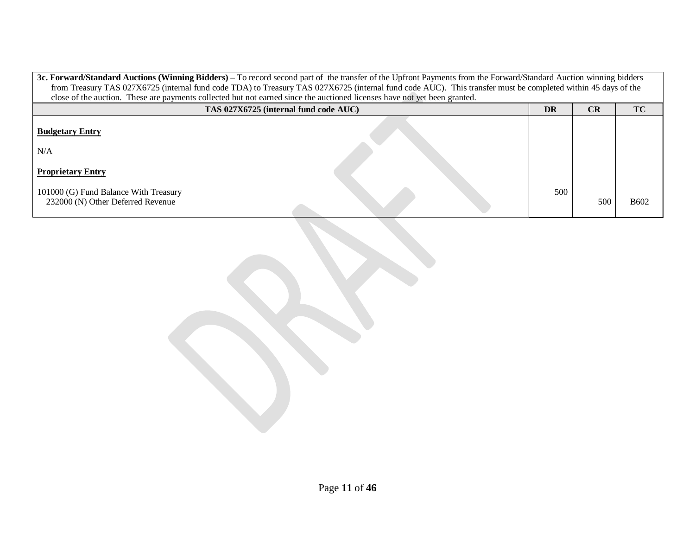| 3c. Forward/Standard Auctions (Winning Bidders) – To record second part of the transfer of the Upfront Payments from the Forward/Standard Auction winning bidders |                                                                                                                                                              |     |     |             |
|-------------------------------------------------------------------------------------------------------------------------------------------------------------------|--------------------------------------------------------------------------------------------------------------------------------------------------------------|-----|-----|-------------|
|                                                                                                                                                                   | from Treasury TAS 027X6725 (internal fund code TDA) to Treasury TAS 027X6725 (internal fund code AUC). This transfer must be completed within 45 days of the |     |     |             |
|                                                                                                                                                                   | close of the auction. These are payments collected but not earned since the auctioned licenses have not yet been granted.                                    |     |     |             |
|                                                                                                                                                                   | <b>TC</b><br>CR<br><b>DR</b><br>TAS 027X6725 (internal fund code AUC)                                                                                        |     |     |             |
| <b>Budgetary Entry</b>                                                                                                                                            |                                                                                                                                                              |     |     |             |
| N/A                                                                                                                                                               |                                                                                                                                                              |     |     |             |
| <b>Proprietary Entry</b>                                                                                                                                          |                                                                                                                                                              |     |     |             |
| 101000 (G) Fund Balance With Treasury<br>232000 (N) Other Deferred Revenue                                                                                        |                                                                                                                                                              | 500 | 500 | <b>B602</b> |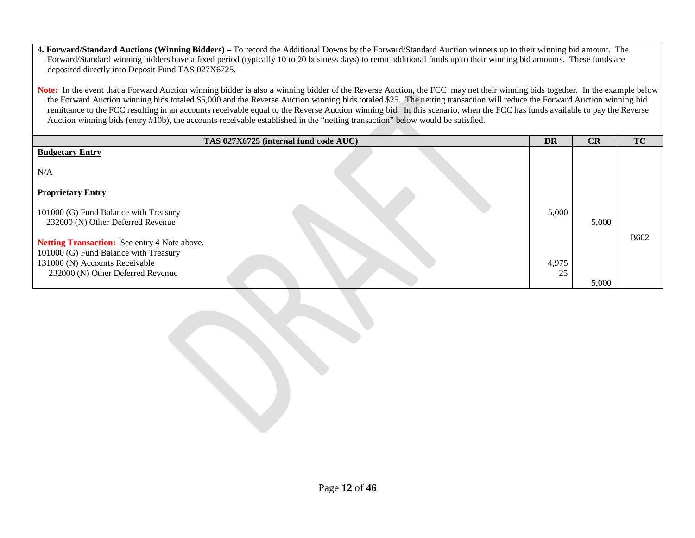**4. Forward/Standard Auctions (Winning Bidders) –** To record the Additional Downs by the Forward/Standard Auction winners up to their winning bid amount. The Forward/Standard winning bidders have a fixed period (typically 10 to 20 business days) to remit additional funds up to their winning bid amounts. These funds are deposited directly into Deposit Fund TAS 027X6725.

Note: In the event that a Forward Auction winning bidder is also a winning bidder of the Reverse Auction, the FCC may net their winning bids together. In the example below the Forward Auction winning bids totaled \$5,000 and the Reverse Auction winning bids totaled \$25. The netting transaction will reduce the Forward Auction winning bid remittance to the FCC resulting in an accounts receivable equal to the Reverse Auction winning bid. In this scenario, when the FCC has funds available to pay the Reverse Auction winning bids (entry #10b), the accounts receivable established in the "netting transaction" below would be satisfied.

| TAS 027X6725 (internal fund code AUC)                                                                                   | <b>DR</b> | CR    | <b>TC</b>   |
|-------------------------------------------------------------------------------------------------------------------------|-----------|-------|-------------|
| <b>Budgetary Entry</b>                                                                                                  |           |       |             |
| N/A                                                                                                                     |           |       |             |
| <b>Proprietary Entry</b>                                                                                                |           |       |             |
| 101000 (G) Fund Balance with Treasury<br>232000 (N) Other Deferred Revenue                                              | 5,000     | 5,000 |             |
| Netting Transaction: See entry 4 Note above.<br>101000 (G) Fund Balance with Treasury<br>131000 (N) Accounts Receivable | 4,975     |       | <b>B602</b> |
| 232000 (N) Other Deferred Revenue                                                                                       | 25        | 5,000 |             |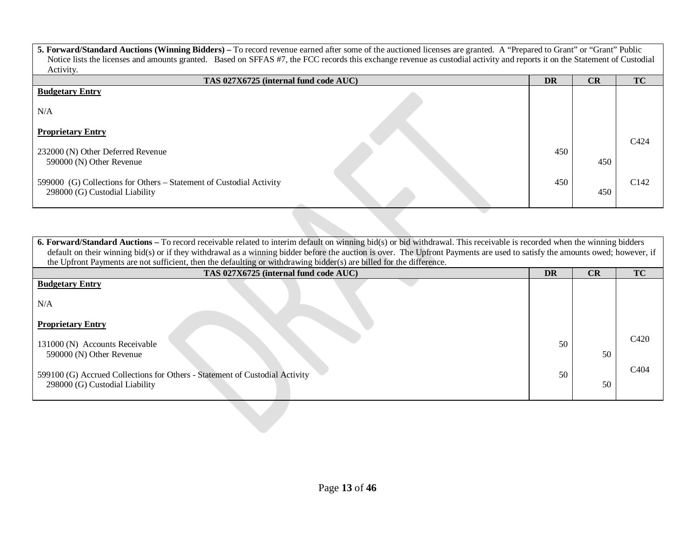| 5. Forward/Standard Auctions (Winning Bidders) – To record revenue earned after some of the auctioned licenses are granted. A "Prepared to Grant" or "Grant" Public        |  |     |     |                  |
|----------------------------------------------------------------------------------------------------------------------------------------------------------------------------|--|-----|-----|------------------|
| Notice lists the licenses and amounts granted. Based on SFFAS #7, the FCC records this exchange revenue as custodial activity and reports it on the Statement of Custodial |  |     |     |                  |
| Activity.                                                                                                                                                                  |  |     |     |                  |
| TAS 027X6725 (internal fund code AUC)                                                                                                                                      |  | DR  | CR  | <b>TC</b>        |
| <b>Budgetary Entry</b>                                                                                                                                                     |  |     |     |                  |
|                                                                                                                                                                            |  |     |     |                  |
| N/A                                                                                                                                                                        |  |     |     |                  |
|                                                                                                                                                                            |  |     |     |                  |
| <b>Proprietary Entry</b>                                                                                                                                                   |  |     |     |                  |
|                                                                                                                                                                            |  |     |     | C <sub>424</sub> |
| 232000 (N) Other Deferred Revenue                                                                                                                                          |  | 450 |     |                  |
| 590000 (N) Other Revenue                                                                                                                                                   |  |     | 450 |                  |
|                                                                                                                                                                            |  |     |     |                  |
| 599000 (G) Collections for Others – Statement of Custodial Activity                                                                                                        |  | 450 |     | C <sub>142</sub> |
| 298000 (G) Custodial Liability                                                                                                                                             |  |     | 450 |                  |
|                                                                                                                                                                            |  |     |     |                  |

**6. Forward/Standard Auctions** – To record receivable related to interim default on winning bid(s) or bid withdrawal. This receivable is recorded when the winning bidders default on their winning bid(s) or if they withdrawal as a winning bidder before the auction is over. The Upfront Payments are used to satisfy the amounts owed; however, if the Upfront Payments are not sufficient, then the defaulting or withdrawing bidder(s) are billed for the difference. **TAS 027X6725 (internal fund code AUC) DR CR TC Budgetary Entry** N/A **Proprietary Entry** 131000 (N) Accounts Receivable 590000 (N) Other Revenue 599100 (G) Accrued Collections for Others - Statement of Custodial Activity 298000 (G) Custodial Liability 50 50 50 50 C420 C404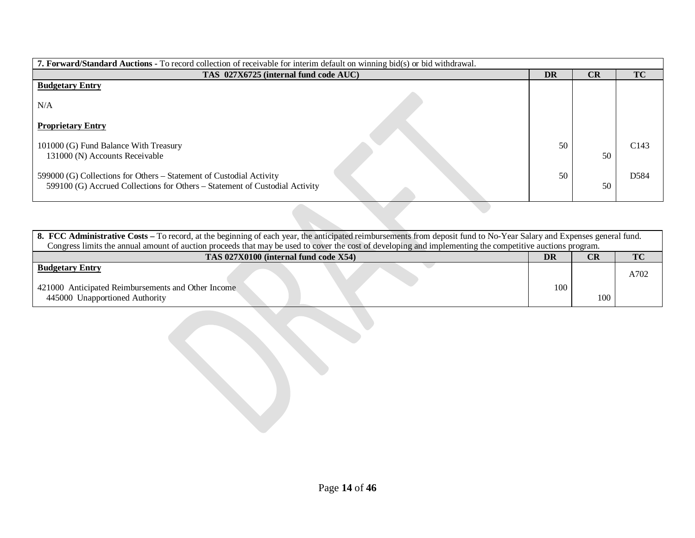| <b>7. Forward/Standard Auctions -</b> To record collection of receivable for interim default on winning bid(s) or bid withdrawal.                  |           |    |                  |
|----------------------------------------------------------------------------------------------------------------------------------------------------|-----------|----|------------------|
| TAS 027X6725 (internal fund code AUC)                                                                                                              | <b>DR</b> | CR | <b>TC</b>        |
| <b>Budgetary Entry</b>                                                                                                                             |           |    |                  |
| N/A                                                                                                                                                |           |    |                  |
| <b>Proprietary Entry</b>                                                                                                                           |           |    |                  |
| 101000 (G) Fund Balance With Treasury<br>131000 (N) Accounts Receivable                                                                            | 50        | 50 | C <sub>143</sub> |
| 599000 (G) Collections for Others – Statement of Custodial Activity<br>599100 (G) Accrued Collections for Others – Statement of Custodial Activity | 50        | 50 | D584             |

| 8. FCC Administrative Costs – To record, at the beginning of each year, the anticipated reimbursements from deposit fund to No-Year Salary and Expenses general fund. |     |           |      |  |
|-----------------------------------------------------------------------------------------------------------------------------------------------------------------------|-----|-----------|------|--|
| Congress limits the annual amount of auction proceeds that may be used to cover the cost of developing and implementing the competitive auctions program.             |     |           |      |  |
| TAS 027X0100 (internal fund code X54)<br>DR<br>CR                                                                                                                     |     | <b>TC</b> |      |  |
| <b>Budgetary Entry</b>                                                                                                                                                |     |           | A702 |  |
| 421000 Anticipated Reimbursements and Other Income<br>445000 Unapportioned Authority                                                                                  | 100 | 100       |      |  |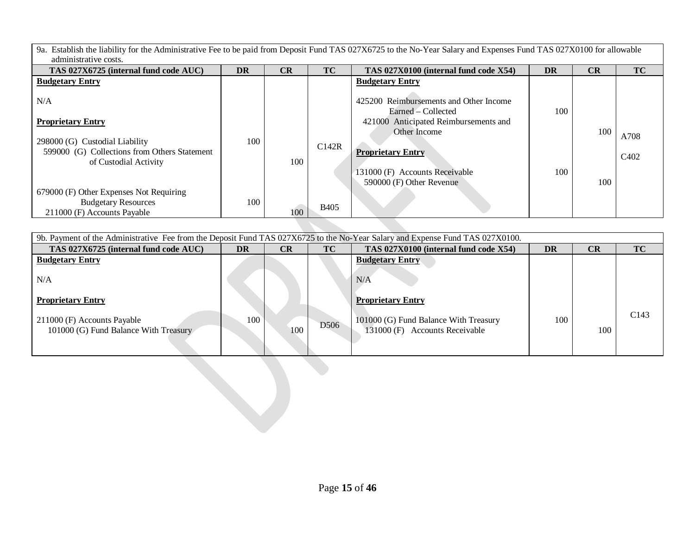9a. Establish the liability for the Administrative Fee to be paid from Deposit Fund TAS 027X6725 to the No-Year Salary and Expenses Fund TAS 027X0100 for allowable administrative costs.

| TAS 027X6725 (internal fund code AUC)                                                                | <b>DR</b> | CR  | TC          | TAS 027X0100 (internal fund code X54)                                                                 | DR  | CR  | TC                            |
|------------------------------------------------------------------------------------------------------|-----------|-----|-------------|-------------------------------------------------------------------------------------------------------|-----|-----|-------------------------------|
| <b>Budgetary Entry</b>                                                                               |           |     |             | <b>Budgetary Entry</b>                                                                                |     |     |                               |
| N/A<br><b>Proprietary Entry</b>                                                                      |           |     |             | 425200 Reimbursements and Other Income<br>Earned – Collected<br>421000 Anticipated Reimbursements and | 100 |     |                               |
| 298000 (G) Custodial Liability                                                                       | 100       |     |             | Other Income                                                                                          |     | 100 | A708                          |
| 599000 (G) Collections from Others Statement<br>of Custodial Activity                                |           | 100 | C142R       | <b>Proprietary Entry</b>                                                                              |     |     | C <sub>4</sub> 0 <sub>2</sub> |
|                                                                                                      |           |     |             | 131000 (F) Accounts Receivable<br>590000 (F) Other Revenue                                            | 100 | 100 |                               |
| 679000 (F) Other Expenses Not Requiring<br><b>Budgetary Resources</b><br>211000 (F) Accounts Payable | 100       | 100 | <b>B405</b> |                                                                                                       |     |     |                               |
|                                                                                                      |           |     |             |                                                                                                       |     |     |                               |

| 9b. Payment of the Administrative Fee from the Deposit Fund TAS 027X6725 to the No-Year Salary and Expense Fund TAS 027X0100. |           |     |      |                                                                         |           |     |      |  |  |
|-------------------------------------------------------------------------------------------------------------------------------|-----------|-----|------|-------------------------------------------------------------------------|-----------|-----|------|--|--|
| TAS 027X6725 (internal fund code AUC)                                                                                         | <b>DR</b> | CR  | TC   | TAS 027X0100 (internal fund code X54)                                   | <b>DR</b> | CR  | TC   |  |  |
| <b>Budgetary Entry</b><br>N/A                                                                                                 |           |     |      | <b>Budgetary Entry</b><br>N/A                                           |           |     |      |  |  |
| <b>Proprietary Entry</b>                                                                                                      |           |     |      | <b>Proprietary Entry</b>                                                |           |     |      |  |  |
| 211000 (F) Accounts Payable<br>101000 (G) Fund Balance With Treasury                                                          | 100       | 100 | D506 | 101000 (G) Fund Balance With Treasury<br>131000 (F) Accounts Receivable | 100       | 100 | C143 |  |  |
|                                                                                                                               |           |     |      |                                                                         |           |     |      |  |  |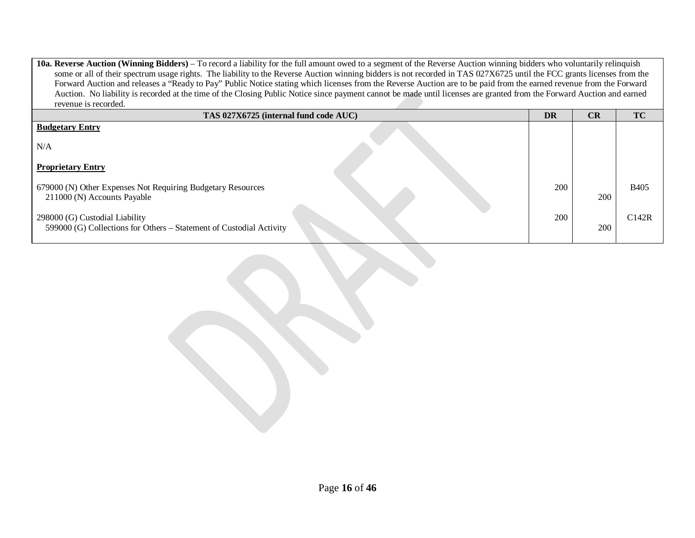**10a. Reverse Auction (Winning Bidders)** – To record a liability for the full amount owed to a segment of the Reverse Auction winning bidders who voluntarily relinquish some or all of their spectrum usage rights. The liability to the Reverse Auction winning bidders is not recorded in TAS 027X6725 until the FCC grants licenses from the Forward Auction and releases a "Ready to Pay" Public Notice stating which licenses from the Reverse Auction are to be paid from the earned revenue from the Forward Auction. No liability is recorded at the time of the Closing Public Notice since payment cannot be made until licenses are granted from the Forward Auction and earned revenue is recorded.

| TAS 027X6725 (internal fund code AUC)                                                                 | <b>DR</b> | CR  | <b>TC</b>   |
|-------------------------------------------------------------------------------------------------------|-----------|-----|-------------|
| <b>Budgetary Entry</b>                                                                                |           |     |             |
| N/A                                                                                                   |           |     |             |
| <b>Proprietary Entry</b>                                                                              |           |     |             |
| 679000 (N) Other Expenses Not Requiring Budgetary Resources<br>211000 (N) Accounts Payable            | 200       | 200 | <b>B405</b> |
| 298000 (G) Custodial Liability<br>599000 (G) Collections for Others – Statement of Custodial Activity | 200       | 200 | C142R       |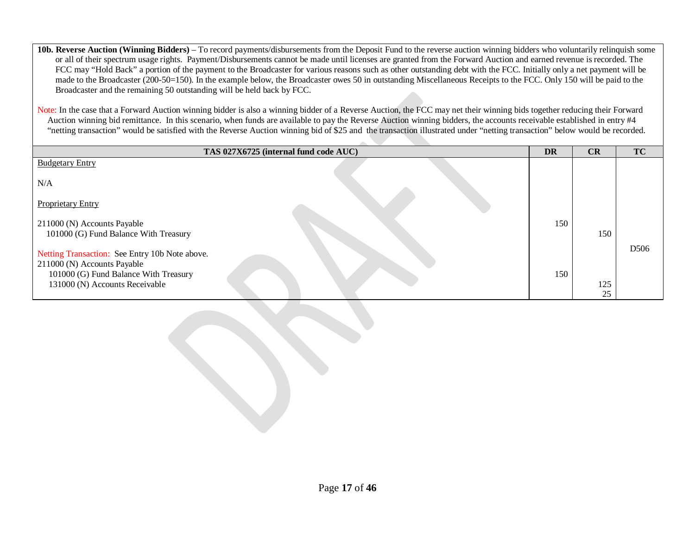**10b. Reverse Auction (Winning Bidders)** – To record payments/disbursements from the Deposit Fund to the reverse auction winning bidders who voluntarily relinquish some or all of their spectrum usage rights. Payment/Disbursements cannot be made until licenses are granted from the Forward Auction and earned revenue is recorded. The FCC may "Hold Back" a portion of the payment to the Broadcaster for various reasons such as other outstanding debt with the FCC. Initially only a net payment will be made to the Broadcaster (200-50=150). In the example below, the Broadcaster owes 50 in outstanding Miscellaneous Receipts to the FCC. Only 150 will be paid to the Broadcaster and the remaining 50 outstanding will be held back by FCC. Note: In the case that a Forward Auction winning bidder is also a winning bidder of a Reverse Auction, the FCC may net their winning bids together reducing their Forward Auction winning bid remittance. In this scenario, when funds are available to pay the Reverse Auction winning bidders, the accounts receivable established in entry #4 "netting transaction" would be satisfied with the Reverse Auction winning bid of \$25 and the transaction illustrated under "netting transaction" below would be recorded. **TAS 027X6725 (internal fund code AUC) DR CR TC** Budgetary Entry N/A Proprietary Entry 211000 (N) Accounts Payable 101000 (G) Fund Balance With Treasury Netting Transaction: See Entry 10b Note above. 211000 (N) Accounts Payable 101000 (G) Fund Balance With Treasury 131000 (N) Accounts Receivable 150 150 150 125 25 D506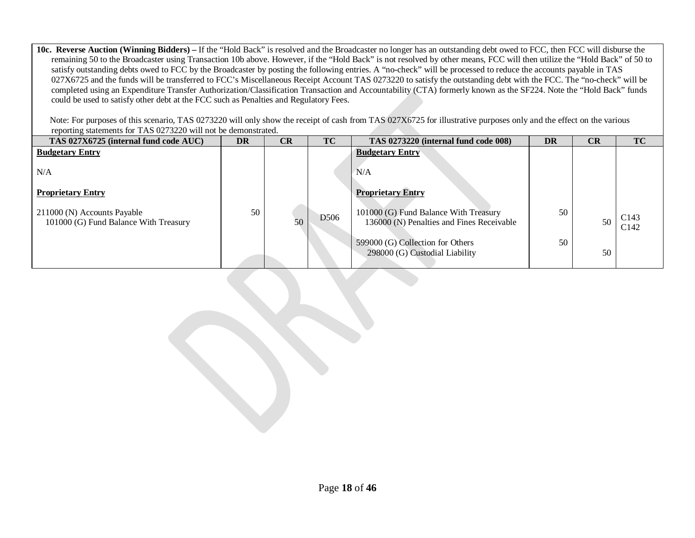**10c. Reverse Auction (Winning Bidders) –** If the "Hold Back" is resolved and the Broadcaster no longer has an outstanding debt owed to FCC, then FCC will disburse the remaining 50 to the Broadcaster using Transaction 10b above. However, if the "Hold Back" is not resolved by other means, FCC will then utilize the "Hold Back" of 50 to satisfy outstanding debts owed to FCC by the Broadcaster by posting the following entries. A "no-check" will be processed to reduce the accounts payable in TAS 027X6725 and the funds will be transferred to FCC's Miscellaneous Receipt Account TAS 0273220 to satisfy the outstanding debt with the FCC. The "no-check" will be completed using an Expenditure Transfer Authorization/Classification Transaction and Accountability (CTA) formerly known as the SF224. Note the "Hold Back" funds could be used to satisfy other debt at the FCC such as Penalties and Regulatory Fees.

Note: For purposes of this scenario, TAS 0273220 will only show the receipt of cash from TAS 027X6725 for illustrative purposes only and the effect on the various reporting statements for TAS 0273220 will not be demonstrated.

| TAS 027X6725 (internal fund code AUC)                                | <b>DR</b> | CR | <b>TC</b>        | TAS 0273220 (internal fund code 008)                                               | <b>DR</b> | CR | TC                                   |
|----------------------------------------------------------------------|-----------|----|------------------|------------------------------------------------------------------------------------|-----------|----|--------------------------------------|
| <b>Budgetary Entry</b>                                               |           |    |                  | <b>Budgetary Entry</b>                                                             |           |    |                                      |
| N/A                                                                  |           |    |                  | N/A                                                                                |           |    |                                      |
| <b>Proprietary Entry</b>                                             |           |    |                  | <b>Proprietary Entry</b>                                                           |           |    |                                      |
| 211000 (N) Accounts Payable<br>101000 (G) Fund Balance With Treasury | 50        | 50 | D <sub>506</sub> | 101000 (G) Fund Balance With Treasury<br>136000 (N) Penalties and Fines Receivable | 50        | 50 | C <sub>143</sub><br>C <sub>142</sub> |
|                                                                      |           |    |                  | 599000 (G) Collection for Others<br>298000 (G) Custodial Liability                 | 50        | 50 |                                      |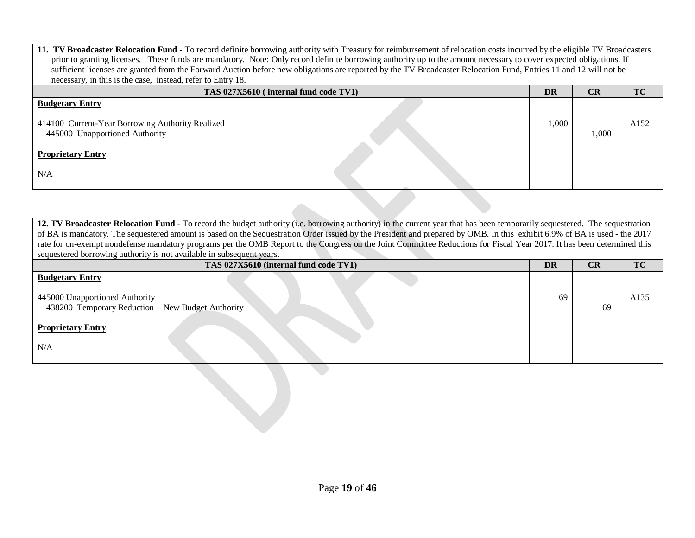| 11. TV Broadcaster Relocation Fund - To record definite borrowing authority with Treasury for reimbursement of relocation costs incurred by the eligible TV Broadcasters<br>prior to granting licenses. These funds are mandatory. Note: Only record definite borrowing authority up to the amount necessary to cover expected obligations. If<br>sufficient licenses are granted from the Forward Auction before new obligations are reported by the TV Broadcaster Relocation Fund, Entries 11 and 12 will not be<br>necessary, in this is the case, instead, refer to Entry 18. |           |       |           |  |  |
|------------------------------------------------------------------------------------------------------------------------------------------------------------------------------------------------------------------------------------------------------------------------------------------------------------------------------------------------------------------------------------------------------------------------------------------------------------------------------------------------------------------------------------------------------------------------------------|-----------|-------|-----------|--|--|
| TAS 027X5610 (internal fund code TV1)                                                                                                                                                                                                                                                                                                                                                                                                                                                                                                                                              | <b>DR</b> | CR    | <b>TC</b> |  |  |
| <b>Budgetary Entry</b><br>414100 Current-Year Borrowing Authority Realized<br>445000 Unapportioned Authority<br><b>Proprietary Entry</b><br>N/A                                                                                                                                                                                                                                                                                                                                                                                                                                    | 1,000     | 1.000 | A152      |  |  |

**12. TV Broadcaster Relocation Fund -** To record the budget authority (i.e. borrowing authority) in the current year that has been temporarily sequestered. The sequestration of BA is mandatory. The sequestered amount is based on the Sequestration Order issued by the President and prepared by OMB. In this exhibit 6.9% of BA is used - the 2017 rate for on-exempt nondefense mandatory programs per the OMB Report to the Congress on the Joint Committee Reductions for Fiscal Year 2017. It has been determined this sequestered borrowing authority is not available in subsequent years.

| TAS 027X5610 (internal fund code TV1)                                               | DR | CR | <b>TC</b> |
|-------------------------------------------------------------------------------------|----|----|-----------|
| <b>Budgetary Entry</b>                                                              |    |    |           |
| 445000 Unapportioned Authority<br>438200 Temporary Reduction - New Budget Authority | 69 | 69 | A135      |
| <b>Proprietary Entry</b>                                                            |    |    |           |
| N/A                                                                                 |    |    |           |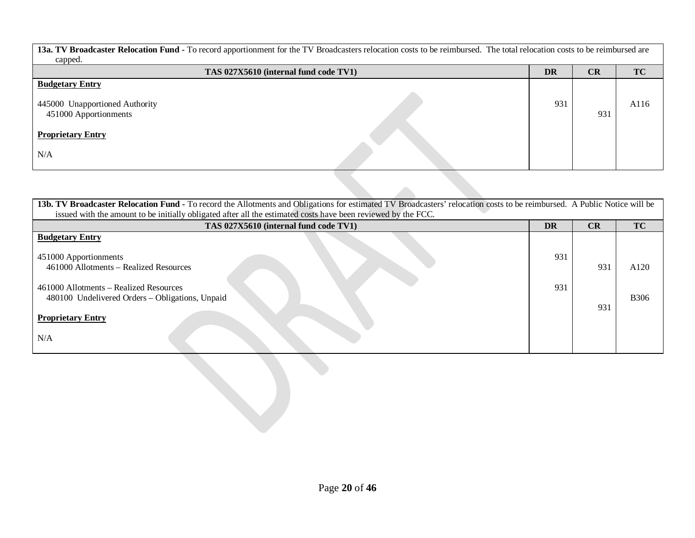**13a. TV Broadcaster Relocation Fund -** To record apportionment for the TV Broadcasters relocation costs to be reimbursed. The total relocation costs to be reimbursed are capped.

| $\mathbf{r}$<br>TAS 027X5610 (internal fund code TV1)                             | <b>DR</b> | CR  | <b>TC</b> |
|-----------------------------------------------------------------------------------|-----------|-----|-----------|
| <b>Budgetary Entry</b><br>445000 Unapportioned Authority<br>451000 Apportionments | 931       | 931 | A116      |
| <b>Proprietary Entry</b>                                                          |           |     |           |
| N/A                                                                               |           |     |           |

| 13b. TV Broadcaster Relocation Fund - To record the Allotments and Obligations for estimated TV Broadcasters' relocation costs to be reimbursed. A Public Notice will be |           |     |              |
|--------------------------------------------------------------------------------------------------------------------------------------------------------------------------|-----------|-----|--------------|
| issued with the amount to be initially obligated after all the estimated costs have been reviewed by the FCC.                                                            |           |     |              |
| TAS 027X5610 (internal fund code TV1)                                                                                                                                    | <b>DR</b> | CR  | <b>TC</b>    |
| <b>Budgetary Entry</b><br>451000 Apportionments<br>461000 Allotments – Realized Resources                                                                                | 931       | 931 | A120         |
| 461000 Allotments – Realized Resources<br>480100 Undelivered Orders - Obligations, Unpaid<br><b>Proprietary Entry</b><br>N/A                                             | 931       | 931 | <b>B</b> 306 |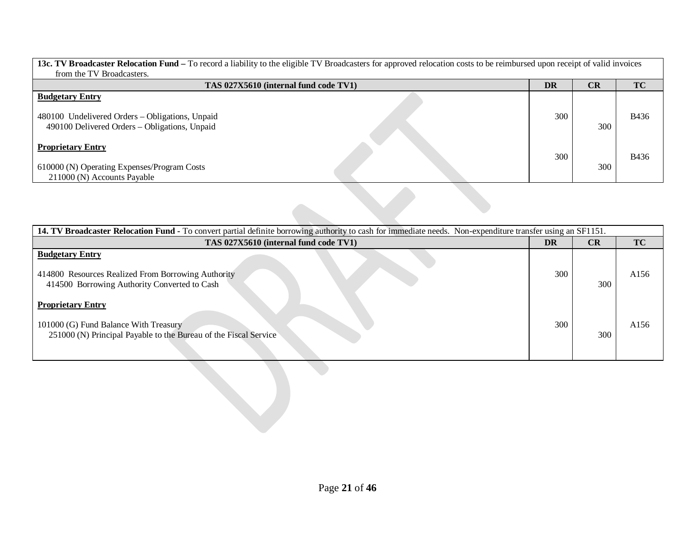| <b>13c. TV Broadcaster Relocation Fund</b> – To record a liability to the eligible TV Broadcasters for approved relocation costs to be reimbursed upon receipt of valid invoices |     |           |              |  |  |  |  |
|----------------------------------------------------------------------------------------------------------------------------------------------------------------------------------|-----|-----------|--------------|--|--|--|--|
| from the TV Broadcasters.                                                                                                                                                        |     |           |              |  |  |  |  |
| TAS 027X5610 (internal fund code TV1)                                                                                                                                            | DR  | <b>CR</b> | <b>TC</b>    |  |  |  |  |
| <b>Budgetary Entry</b>                                                                                                                                                           |     |           |              |  |  |  |  |
| 480100 Undelivered Orders – Obligations, Unpaid<br>490100 Delivered Orders – Obligations, Unpaid                                                                                 | 300 | 300       | <b>B436</b>  |  |  |  |  |
| <b>Proprietary Entry</b>                                                                                                                                                         | 300 |           | <b>B</b> 436 |  |  |  |  |
| 610000 (N) Operating Expenses/Program Costs                                                                                                                                      |     | 300       |              |  |  |  |  |
| 211000 (N) Accounts Payable                                                                                                                                                      |     |           |              |  |  |  |  |

| 14. TV Broadcaster Relocation Fund - To convert partial definite borrowing authority to cash for immediate needs. Non-expenditure transfer using an SF1151. |     |           |           |  |  |  |
|-------------------------------------------------------------------------------------------------------------------------------------------------------------|-----|-----------|-----------|--|--|--|
| TAS 027X5610 (internal fund code TV1)                                                                                                                       | DR  | <b>CR</b> | <b>TC</b> |  |  |  |
| <b>Budgetary Entry</b><br>414800 Resources Realized From Borrowing Authority<br>414500 Borrowing Authority Converted to Cash                                | 300 | 300       | A156      |  |  |  |
| <b>Proprietary Entry</b><br>101000 (G) Fund Balance With Treasury<br>251000 (N) Principal Payable to the Bureau of the Fiscal Service                       | 300 | 300       | A156      |  |  |  |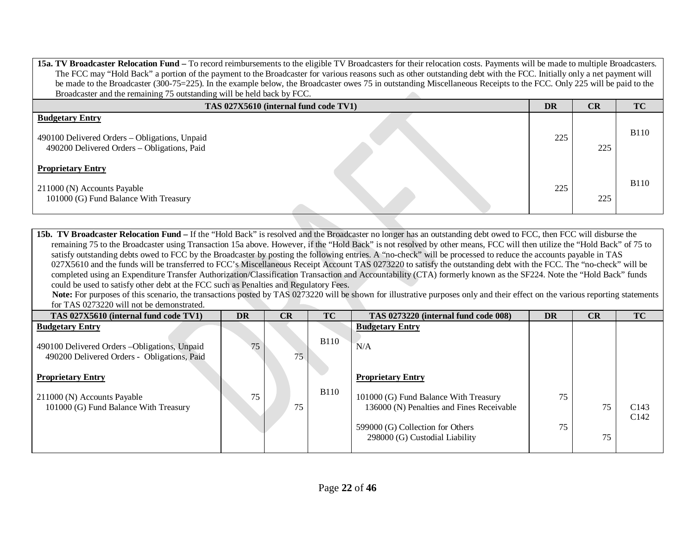**15a. TV Broadcaster Relocation Fund –** To record reimbursements to the eligible TV Broadcasters for their relocation costs. Payments will be made to multiple Broadcasters. The FCC may "Hold Back" a portion of the payment to the Broadcaster for various reasons such as other outstanding debt with the FCC. Initially only a net payment will be made to the Broadcaster (300-75=225). In the example below, the Broadcaster owes 75 in outstanding Miscellaneous Receipts to the FCC. Only 225 will be paid to the Broadcaster and the remaining 75 outstanding will be held back by FCC. 

| TAS 027X5610 (internal fund code TV1)                                                                                  | <b>DR</b> | CR  | <b>TC</b>   |
|------------------------------------------------------------------------------------------------------------------------|-----------|-----|-------------|
| <b>Budgetary Entry</b><br>490100 Delivered Orders - Obligations, Unpaid<br>490200 Delivered Orders - Obligations, Paid | 225       | 225 | <b>B110</b> |
| <b>Proprietary Entry</b><br>211000 (N) Accounts Payable<br>101000 (G) Fund Balance With Treasury                       | 225       | 225 | <b>B110</b> |

**15b. TV Broadcaster Relocation Fund** – If the "Hold Back" is resolved and the Broadcaster no longer has an outstanding debt owed to FCC, then FCC will disburse the remaining 75 to the Broadcaster using Transaction 15a above. However, if the "Hold Back" is not resolved by other means, FCC will then utilize the "Hold Back" of 75 to satisfy outstanding debts owed to FCC by the Broadcaster by posting the following entries. A "no-check" will be processed to reduce the accounts payable in TAS 027X5610 and the funds will be transferred to FCC's Miscellaneous Receipt Account TAS 0273220 to satisfy the outstanding debt with the FCC. The "no-check" will be completed using an Expenditure Transfer Authorization/Classification Transaction and Accountability (CTA) formerly known as the SF224. Note the "Hold Back" funds could be used to satisfy other debt at the FCC such as Penalties and Regulatory Fees.

Note: For purposes of this scenario, the transactions posted by TAS 0273220 will be shown for illustrative purposes only and their effect on the various reporting statements for TAS 0273220 will not be demonstrated.

| TAS 027X5610 (internal fund code TV1)                                                        | DR | CR | TC           | TAS 0273220 (internal fund code 008)                                               | <b>DR</b> | CR | TC                                   |
|----------------------------------------------------------------------------------------------|----|----|--------------|------------------------------------------------------------------------------------|-----------|----|--------------------------------------|
| <b>Budgetary Entry</b>                                                                       |    |    |              | <b>Budgetary Entry</b>                                                             |           |    |                                      |
| 490100 Delivered Orders - Obligations, Unpaid<br>490200 Delivered Orders - Obligations, Paid | 75 | 75 | <b>B</b> 110 | N/A                                                                                |           |    |                                      |
| <b>Proprietary Entry</b>                                                                     |    |    |              | <b>Proprietary Entry</b>                                                           |           |    |                                      |
| 211000 (N) Accounts Payable<br>101000 (G) Fund Balance With Treasury                         | 75 | 75 | <b>B110</b>  | 101000 (G) Fund Balance With Treasury<br>136000 (N) Penalties and Fines Receivable | 75        | 75 | C <sub>143</sub><br>C <sub>142</sub> |
|                                                                                              |    |    |              | 599000 (G) Collection for Others<br>298000 (G) Custodial Liability                 | 75        | 75 |                                      |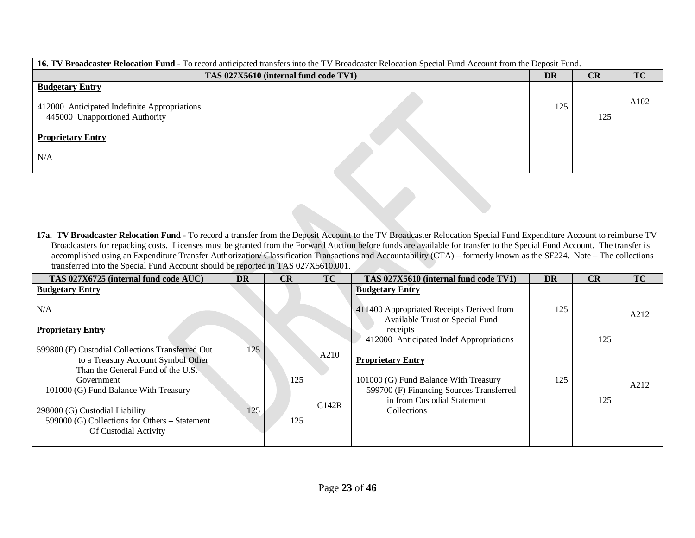| 16. TV Broadcaster Relocation Fund - To record anticipated transfers into the TV Broadcaster Relocation Special Fund Account from the Deposit Fund. |    |           |           |      |  |  |  |  |  |
|-----------------------------------------------------------------------------------------------------------------------------------------------------|----|-----------|-----------|------|--|--|--|--|--|
| TAS 027X5610 (internal fund code TV1)                                                                                                               | DR | <b>CR</b> | <b>TC</b> |      |  |  |  |  |  |
| <b>Budgetary Entry</b><br>412000 Anticipated Indefinite Appropriations<br>445000 Unapportioned Authority<br><b>Proprietary Entry</b><br>N/A         |    | 125       | 125       | A102 |  |  |  |  |  |
|                                                                                                                                                     |    |           |           |      |  |  |  |  |  |

**17a. TV Broadcaster Relocation Fund** - To record a transfer from the Deposit Account to the TV Broadcaster Relocation Special Fund Expenditure Account to reimburse TV Broadcasters for repacking costs. Licenses must be granted from the Forward Auction before funds are available for transfer to the Special Fund Account. The transfer is accomplished using an Expenditure Transfer Authorization/ Classification Transactions and Accountability (CTA) – formerly known as the SF224. Note – The collections transferred into the Special Fund Account should be reported in TAS 027X5610.001.

| TAS 027X6725 (internal fund code AUC)                                                                                       | <b>DR</b> | CR  | <b>TC</b> | TAS 027X5610 (internal fund code TV1)                                                                            | DR  | CR  | <b>TC</b> |
|-----------------------------------------------------------------------------------------------------------------------------|-----------|-----|-----------|------------------------------------------------------------------------------------------------------------------|-----|-----|-----------|
| <b>Budgetary Entry</b><br>N/A                                                                                               |           |     |           | <b>Budgetary Entry</b><br>411400 Appropriated Receipts Derived from                                              | 125 |     |           |
| <b>Proprietary Entry</b>                                                                                                    |           |     |           | Available Trust or Special Fund<br>receipts<br>412000 Anticipated Indef Appropriations                           |     | 125 | A212      |
| 599800 (F) Custodial Collections Transferred Out<br>to a Treasury Account Symbol Other<br>Than the General Fund of the U.S. | 125       |     | A210      | <b>Proprietary Entry</b>                                                                                         |     |     |           |
| Government<br>101000 (G) Fund Balance With Treasury                                                                         |           | 125 |           | 101000 (G) Fund Balance With Treasury<br>599700 (F) Financing Sources Transferred<br>in from Custodial Statement | 125 | 125 | A212      |
| 298000 (G) Custodial Liability<br>599000 (G) Collections for Others – Statement<br>Of Custodial Activity                    | 125       | 125 | C142R     | <b>Collections</b>                                                                                               |     |     |           |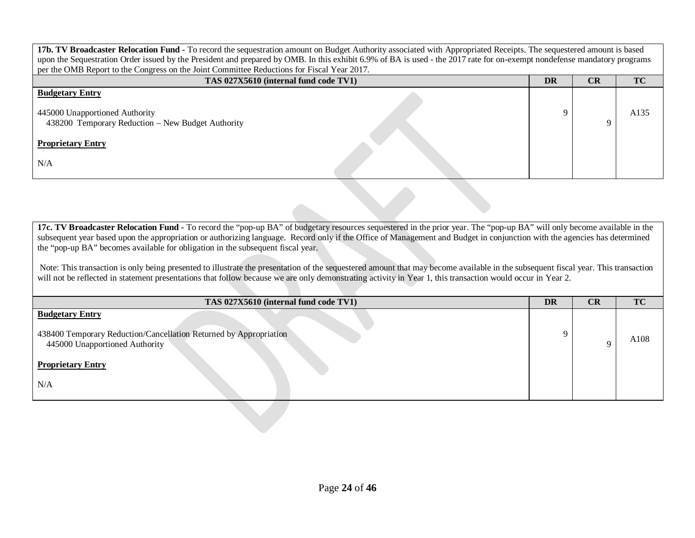| 17b. TV Broadcaster Relocation Fund - To record the sequestration amount on Budget Authority associated with Appropriated Receipts. The sequestered amount is based<br>upon the Sequestration Order issued by the President and prepared by OMB. In this exhibit 6.9% of BA is used - the 2017 rate for on-exempt nondefense mandatory programs |           |           |           |  |  |  |  |  |  |
|-------------------------------------------------------------------------------------------------------------------------------------------------------------------------------------------------------------------------------------------------------------------------------------------------------------------------------------------------|-----------|-----------|-----------|--|--|--|--|--|--|
| per the OMB Report to the Congress on the Joint Committee Reductions for Fiscal Year 2017.                                                                                                                                                                                                                                                      |           |           |           |  |  |  |  |  |  |
| TAS 027X5610 (internal fund code TV1)                                                                                                                                                                                                                                                                                                           | <b>DR</b> | <b>CR</b> | <b>TC</b> |  |  |  |  |  |  |
| <b>Budgetary Entry</b>                                                                                                                                                                                                                                                                                                                          |           |           |           |  |  |  |  |  |  |
| 445000 Unapportioned Authority<br>438200 Temporary Reduction – New Budget Authority                                                                                                                                                                                                                                                             |           |           | A135      |  |  |  |  |  |  |
| <b>Proprietary Entry</b>                                                                                                                                                                                                                                                                                                                        |           |           |           |  |  |  |  |  |  |
| N/A                                                                                                                                                                                                                                                                                                                                             |           |           |           |  |  |  |  |  |  |

**17c. TV Broadcaster Relocation Fund -** To record the "pop-up BA" of budgetary resources sequestered in the prior year. The "pop-up BA" will only become available in the subsequent year based upon the appropriation or authorizing language. Record only if the Office of Management and Budget in conjunction with the agencies has determined the "pop-up BA" becomes available for obligation in the subsequent fiscal year.

Note: This transaction is only being presented to illustrate the presentation of the sequestered amount that may become available in the subsequent fiscal year. This transaction will not be reflected in statement presentations that follow because we are only demonstrating activity in Year 1, this transaction would occur in Year 2.

| TAS 027X5610 (internal fund code TV1)                                                                                                                            | DR | <b>CR</b> | TC   |
|------------------------------------------------------------------------------------------------------------------------------------------------------------------|----|-----------|------|
| <b>Budgetary Entry</b><br>438400 Temporary Reduction/Cancellation Returned by Appropriation<br>445000 Unapportioned Authority<br><b>Proprietary Entry</b><br>N/A | Q  |           | A108 |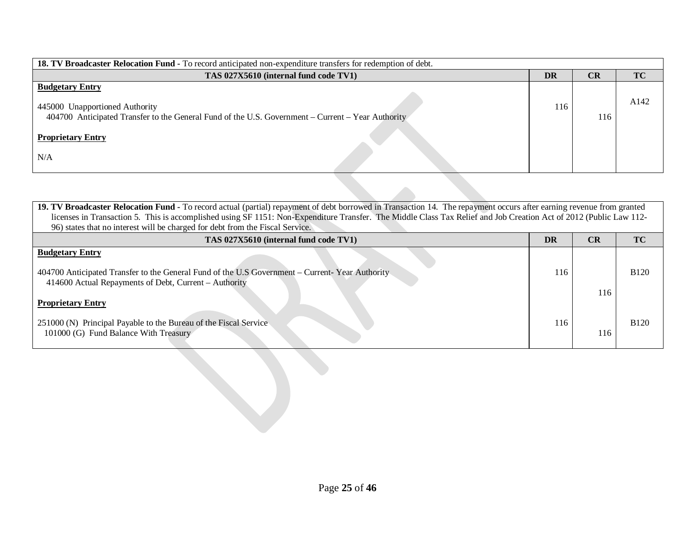| <b>18. TV Broadcaster Relocation Fund -</b> To record anticipated non-expenditure transfers for redemption of debt.                                                                              |           |     |           |  |  |  |  |  |  |  |
|--------------------------------------------------------------------------------------------------------------------------------------------------------------------------------------------------|-----------|-----|-----------|--|--|--|--|--|--|--|
| TAS 027X5610 (internal fund code TV1)                                                                                                                                                            | <b>DR</b> | CR  | <b>TC</b> |  |  |  |  |  |  |  |
| <b>Budgetary Entry</b><br>445000 Unapportioned Authority<br>404700 Anticipated Transfer to the General Fund of the U.S. Government – Current – Year Authority<br><b>Proprietary Entry</b><br>N/A | 116       | 116 | A142      |  |  |  |  |  |  |  |

| 19. TV Broadcaster Relocation Fund - To record actual (partial) repayment of debt borrowed in Transaction 14. The repayment occurs after earning revenue from granted<br>licenses in Transaction 5. This is accomplished using SF 1151: Non-Expenditure Transfer. The Middle Class Tax Relief and Job Creation Act of 2012 (Public Law 112-<br>96) states that no interest will be charged for debt from the Fiscal Service. |           |     |             |  |  |
|------------------------------------------------------------------------------------------------------------------------------------------------------------------------------------------------------------------------------------------------------------------------------------------------------------------------------------------------------------------------------------------------------------------------------|-----------|-----|-------------|--|--|
| TAS 027X5610 (internal fund code TV1)                                                                                                                                                                                                                                                                                                                                                                                        | <b>DR</b> | CR  | TC          |  |  |
| <b>Budgetary Entry</b><br>404700 Anticipated Transfer to the General Fund of the U.S Government – Current-Year Authority<br>414600 Actual Repayments of Debt, Current – Authority                                                                                                                                                                                                                                            | 116       | 116 | <b>B120</b> |  |  |
| <b>Proprietary Entry</b><br>251000 (N) Principal Payable to the Bureau of the Fiscal Service<br>101000 (G) Fund Balance With Treasury                                                                                                                                                                                                                                                                                        | 116       | 116 | <b>B120</b> |  |  |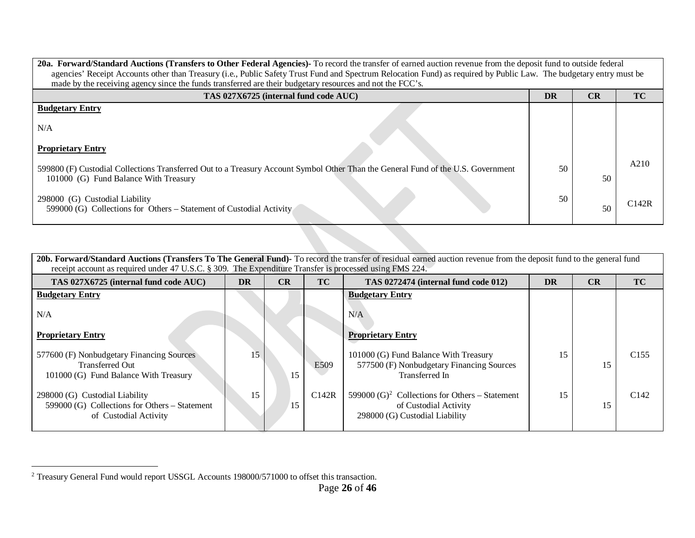<span id="page-25-0"></span>

| 20a. Forward/Standard Auctions (Transfers to Other Federal Agencies)- To record the transfer of earned auction revenue from the deposit fund to outside federal           |    |    |           |  |  |  |  |  |  |
|---------------------------------------------------------------------------------------------------------------------------------------------------------------------------|----|----|-----------|--|--|--|--|--|--|
| agencies' Receipt Accounts other than Treasury (i.e., Public Safety Trust Fund and Spectrum Relocation Fund) as required by Public Law. The budgetary entry must be       |    |    |           |  |  |  |  |  |  |
| made by the receiving agency since the funds transferred are their budgetary resources and not the FCC's.                                                                 |    |    |           |  |  |  |  |  |  |
| TAS 027X6725 (internal fund code AUC)                                                                                                                                     | DR | CR | <b>TC</b> |  |  |  |  |  |  |
| <b>Budgetary Entry</b>                                                                                                                                                    |    |    |           |  |  |  |  |  |  |
| N/A                                                                                                                                                                       |    |    |           |  |  |  |  |  |  |
| <b>Proprietary Entry</b>                                                                                                                                                  |    |    |           |  |  |  |  |  |  |
| 599800 (F) Custodial Collections Transferred Out to a Treasury Account Symbol Other Than the General Fund of the U.S. Government<br>101000 (G) Fund Balance With Treasury | 50 | 50 | A210      |  |  |  |  |  |  |
| 298000 (G) Custodial Liability<br>599000 (G) Collections for Others – Statement of Custodial Activity                                                                     | 50 | 50 | C142R     |  |  |  |  |  |  |
|                                                                                                                                                                           |    |    |           |  |  |  |  |  |  |

| 20b. Forward/Standard Auctions (Transfers To The General Fund)- To record the transfer of residual earned auction revenue from the deposit fund to the general fund<br>receipt account as required under 47 U.S.C. § 309. The Expenditure Transfer is processed using FMS 224. |                 |    |       |                                                                                                                       |    |           |                  |  |  |  |  |  |
|--------------------------------------------------------------------------------------------------------------------------------------------------------------------------------------------------------------------------------------------------------------------------------|-----------------|----|-------|-----------------------------------------------------------------------------------------------------------------------|----|-----------|------------------|--|--|--|--|--|
| TAS 027X6725 (internal fund code AUC)                                                                                                                                                                                                                                          | <b>DR</b>       | CR | TC    | TAS 0272474 (internal fund code 012)                                                                                  | CR | <b>TC</b> |                  |  |  |  |  |  |
| <b>Budgetary Entry</b>                                                                                                                                                                                                                                                         |                 |    |       | <b>Budgetary Entry</b>                                                                                                |    |           |                  |  |  |  |  |  |
| N/A                                                                                                                                                                                                                                                                            |                 |    |       | N/A                                                                                                                   |    |           |                  |  |  |  |  |  |
| <b>Proprietary Entry</b>                                                                                                                                                                                                                                                       |                 |    |       | <b>Proprietary Entry</b>                                                                                              |    |           |                  |  |  |  |  |  |
| 577600 (F) Nonbudgetary Financing Sources<br><b>Transferred Out</b><br>101000 (G) Fund Balance With Treasury                                                                                                                                                                   | 15 <sup>5</sup> | 15 | E509  | 101000 (G) Fund Balance With Treasury<br>577500 (F) Nonbudgetary Financing Sources<br>Transferred In                  | 15 | 15        | C <sub>155</sub> |  |  |  |  |  |
| 298000 (G) Custodial Liability<br>599000 (G) Collections for Others – Statement<br>of Custodial Activity                                                                                                                                                                       | 15              | 15 | C142R | 599000 (G) <sup>2</sup> Collections for Others – Statement<br>of Custodial Activity<br>298000 (G) Custodial Liability | 15 | 15        | C <sub>142</sub> |  |  |  |  |  |

<sup>&</sup>lt;sup>2</sup> Treasury General Fund would report USSGL Accounts 198000/571000 to offset this transaction.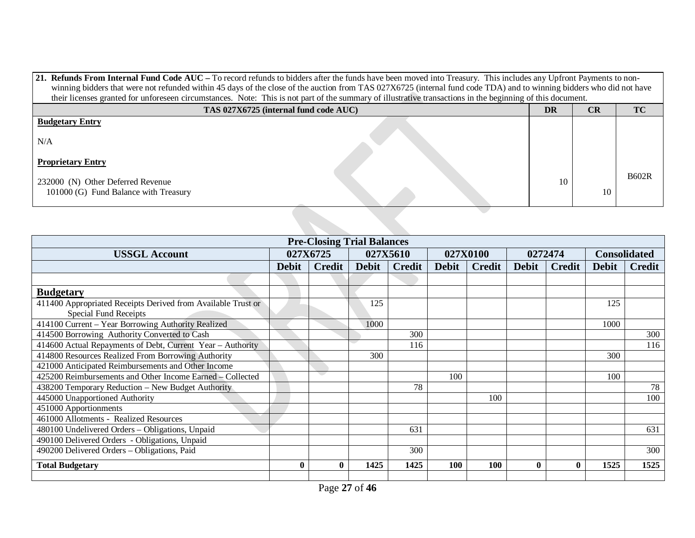| 21. Refunds From Internal Fund Code AUC – To record refunds to bidders after the funds have been moved into Treasury. This includes any Upfront Payments to non-     |    |           |              |  |  |  |  |  |  |
|----------------------------------------------------------------------------------------------------------------------------------------------------------------------|----|-----------|--------------|--|--|--|--|--|--|
| winning bidders that were not refunded within 45 days of the close of the auction from TAS 027X6725 (internal fund code TDA) and to winning bidders who did not have |    |           |              |  |  |  |  |  |  |
| their licenses granted for unforeseen circumstances. Note: This is not part of the summary of illustrative transactions in the beginning of this document.           |    |           |              |  |  |  |  |  |  |
| TAS 027X6725 (internal fund code AUC)                                                                                                                                | DR | <b>CR</b> | TC           |  |  |  |  |  |  |
| <b>Budgetary Entry</b>                                                                                                                                               |    |           |              |  |  |  |  |  |  |
| N/A                                                                                                                                                                  |    |           |              |  |  |  |  |  |  |
| <b>Proprietary Entry</b>                                                                                                                                             |    |           |              |  |  |  |  |  |  |
| 232000 (N) Other Deferred Revenue<br>101000 (G) Fund Balance with Treasury                                                                                           | 10 | 10        | <b>B602R</b> |  |  |  |  |  |  |

| <b>Pre-Closing Trial Balances</b>                            |              |              |          |               |              |               |              |               |                     |               |
|--------------------------------------------------------------|--------------|--------------|----------|---------------|--------------|---------------|--------------|---------------|---------------------|---------------|
| <b>USSGL Account</b>                                         |              | 027X6725     | 027X5610 |               | 027X0100     |               | 0272474      |               | <b>Consolidated</b> |               |
|                                                              | <b>Debit</b> | Credit       | Debit    | <b>Credit</b> | <b>Debit</b> | <b>Credit</b> | <b>Debit</b> | <b>Credit</b> | <b>Debit</b>        | <b>Credit</b> |
|                                                              |              |              |          |               |              |               |              |               |                     |               |
| <b>Budgetary</b>                                             |              |              |          |               |              |               |              |               |                     |               |
| 411400 Appropriated Receipts Derived from Available Trust or |              |              | 125      |               |              |               |              |               | 125                 |               |
| Special Fund Receipts                                        |              |              |          |               |              |               |              |               |                     |               |
| 414100 Current - Year Borrowing Authority Realized           |              |              | 1000     |               |              |               |              |               | 1000                |               |
| 414500 Borrowing Authority Converted to Cash                 |              |              |          | 300           |              |               |              |               |                     | 300           |
| 414600 Actual Repayments of Debt, Current Year - Authority   |              |              |          | 116           |              |               |              |               |                     | 116           |
| 414800 Resources Realized From Borrowing Authority           |              |              | 300      |               |              |               |              |               | 300                 |               |
| 421000 Anticipated Reimbursements and Other Income           |              |              |          |               |              |               |              |               |                     |               |
| 425200 Reimbursements and Other Income Earned - Collected    |              | s.           |          |               | 100          |               |              |               | 100                 |               |
| 438200 Temporary Reduction - New Budget Authority            |              |              |          | 78            |              |               |              |               |                     | 78            |
| 445000 Unapportioned Authority                               |              |              |          |               |              | 100           |              |               |                     | 100           |
| 451000 Apportionments                                        |              |              |          |               |              |               |              |               |                     |               |
| 461000 Allotments - Realized Resources                       |              |              |          |               |              |               |              |               |                     |               |
| 480100 Undelivered Orders - Obligations, Unpaid              |              |              |          | 631           |              |               |              |               |                     | 631           |
| 490100 Delivered Orders - Obligations, Unpaid                |              |              |          |               |              |               |              |               |                     |               |
| 490200 Delivered Orders - Obligations, Paid                  |              |              |          | 300           |              |               |              |               |                     | 300           |
| <b>Total Budgetary</b>                                       |              | $\mathbf{0}$ | 1425     | 1425          | 100          | <b>100</b>    | $\mathbf{0}$ | $\mathbf{0}$  | 1525                | 1525          |
|                                                              |              |              |          |               |              |               |              |               |                     |               |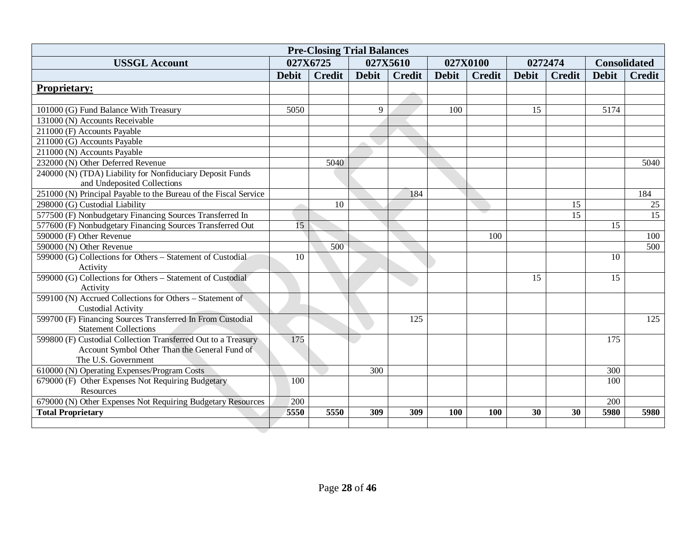| <b>Pre-Closing Trial Balances</b>                                |              |               |              |               |              |               |              |               |                     |                  |
|------------------------------------------------------------------|--------------|---------------|--------------|---------------|--------------|---------------|--------------|---------------|---------------------|------------------|
| <b>USSGL Account</b>                                             |              | 027X6725      | 027X5610     |               | 027X0100     |               | 0272474      |               | <b>Consolidated</b> |                  |
|                                                                  | <b>Debit</b> | <b>Credit</b> | <b>Debit</b> | <b>Credit</b> | <b>Debit</b> | <b>Credit</b> | <b>Debit</b> | <b>Credit</b> | <b>Debit</b>        | <b>Credit</b>    |
| <b>Proprietary:</b>                                              |              |               |              |               |              |               |              |               |                     |                  |
|                                                                  |              |               |              |               |              |               |              |               |                     |                  |
| 101000 (G) Fund Balance With Treasury                            | 5050         |               | 9            |               | 100          |               | 15           |               | 5174                |                  |
| 131000 (N) Accounts Receivable                                   |              |               |              |               |              |               |              |               |                     |                  |
| 211000 (F) Accounts Payable                                      |              |               |              |               |              |               |              |               |                     |                  |
| 211000 (G) Accounts Payable                                      |              |               |              |               |              |               |              |               |                     |                  |
| 211000 (N) Accounts Payable                                      |              |               |              |               |              |               |              |               |                     |                  |
| 232000 (N) Other Deferred Revenue                                |              | 5040          |              |               |              |               |              |               |                     | 5040             |
| 240000 (N) (TDA) Liability for Nonfiduciary Deposit Funds        |              |               |              |               |              |               |              |               |                     |                  |
| and Undeposited Collections                                      |              |               |              |               |              |               |              |               |                     |                  |
| 251000 (N) Principal Payable to the Bureau of the Fiscal Service |              |               |              | 184           |              |               |              |               |                     | 184              |
| 298000 (G) Custodial Liability                                   |              | 10            |              |               |              |               |              | 15            |                     | 25               |
| 577500 (F) Nonbudgetary Financing Sources Transferred In         |              |               |              |               |              |               |              | 15            |                     | $\overline{15}$  |
| 577600 (F) Nonbudgetary Financing Sources Transferred Out        | 15           |               |              |               |              |               |              |               | 15                  |                  |
| 590000 (F) Other Revenue                                         |              |               |              |               |              | 100           |              |               |                     | 100              |
| 590000 (N) Other Revenue                                         |              | 500           |              |               |              |               |              |               |                     | $\overline{500}$ |
| 599000 (G) Collections for Others - Statement of Custodial       | 10           |               |              |               |              |               |              |               | 10                  |                  |
| Activity                                                         |              |               |              |               |              |               |              |               |                     |                  |
| 599000 (G) Collections for Others - Statement of Custodial       |              |               |              |               |              |               | 15           |               | 15                  |                  |
| Activity                                                         |              |               |              |               |              |               |              |               |                     |                  |
| 599100 (N) Accrued Collections for Others - Statement of         |              |               |              |               |              |               |              |               |                     |                  |
| <b>Custodial Activity</b>                                        |              |               |              |               |              |               |              |               |                     |                  |
| 599700 (F) Financing Sources Transferred In From Custodial       |              |               |              | 125           |              |               |              |               |                     | 125              |
| <b>Statement Collections</b>                                     |              |               |              |               |              |               |              |               |                     |                  |
| 599800 (F) Custodial Collection Transferred Out to a Treasury    | 175          |               |              |               |              |               |              |               | 175                 |                  |
| Account Symbol Other Than the General Fund of                    |              |               |              |               |              |               |              |               |                     |                  |
| The U.S. Government                                              |              |               |              |               |              |               |              |               |                     |                  |
| 610000 (N) Operating Expenses/Program Costs                      |              |               | 300          |               |              |               |              |               | 300                 |                  |
| 679000 (F) Other Expenses Not Requiring Budgetary                | 100          |               |              |               |              |               |              |               | 100                 |                  |
| <b>Resources</b>                                                 |              |               |              |               |              |               |              |               |                     |                  |
| 679000 (N) Other Expenses Not Requiring Budgetary Resources      | 200          |               |              |               |              |               |              |               | 200                 |                  |
| <b>Total Proprietary</b>                                         | 5550         | 5550          | 309          | 309           | 100          | <b>100</b>    | 30           | 30            | 5980                | 5980             |
|                                                                  |              |               |              |               |              |               |              |               |                     |                  |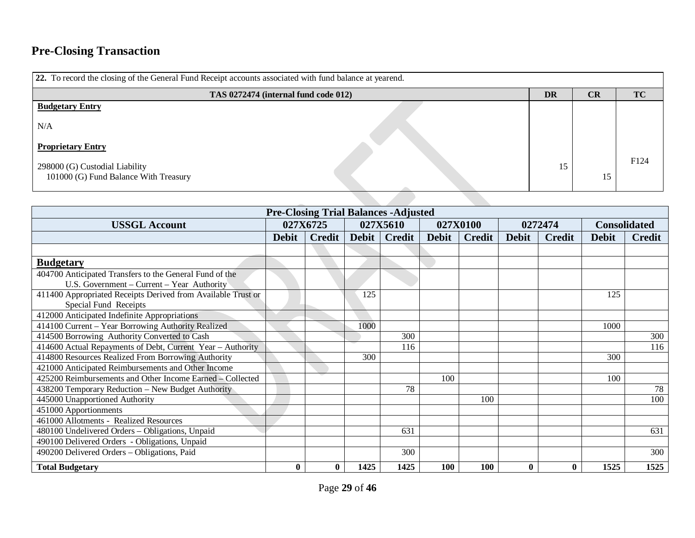# **Pre-Closing Transaction**

| 22. To record the closing of the General Fund Receipt accounts associated with fund balance at yearend. |    |    |           |      |  |  |  |  |  |  |  |
|---------------------------------------------------------------------------------------------------------|----|----|-----------|------|--|--|--|--|--|--|--|
|                                                                                                         | DR | CR | <b>TC</b> |      |  |  |  |  |  |  |  |
| <b>Budgetary Entry</b>                                                                                  |    |    |           |      |  |  |  |  |  |  |  |
| N/A                                                                                                     |    |    |           |      |  |  |  |  |  |  |  |
| <b>Proprietary Entry</b>                                                                                |    |    |           |      |  |  |  |  |  |  |  |
| 298000 (G) Custodial Liability<br>101000 (G) Fund Balance With Treasury                                 |    | 15 | 15        | F124 |  |  |  |  |  |  |  |
|                                                                                                         |    |    |           |      |  |  |  |  |  |  |  |

| <b>Pre-Closing Trial Balances -Adjusted</b>                  |              |          |       |          |              |               |              |               |                     |               |
|--------------------------------------------------------------|--------------|----------|-------|----------|--------------|---------------|--------------|---------------|---------------------|---------------|
| <b>USSGL Account</b>                                         |              | 027X6725 |       | 027X5610 | 027X0100     |               | 0272474      |               | <b>Consolidated</b> |               |
|                                                              | <b>Debit</b> | Credit   | Debit | Credit   | <b>Debit</b> | <b>Credit</b> | <b>Debit</b> | <b>Credit</b> | <b>Debit</b>        | <b>Credit</b> |
|                                                              |              |          |       |          |              |               |              |               |                     |               |
| <b>Budgetary</b>                                             |              |          |       |          |              |               |              |               |                     |               |
| 404700 Anticipated Transfers to the General Fund of the      |              |          |       |          |              |               |              |               |                     |               |
| U.S. Government - Current - Year Authority                   |              |          |       |          |              |               |              |               |                     |               |
| 411400 Appropriated Receipts Derived from Available Trust or |              |          | 125   |          |              |               |              |               | 125                 |               |
| Special Fund Receipts                                        |              |          |       |          |              |               |              |               |                     |               |
| 412000 Anticipated Indefinite Appropriations                 |              |          |       |          |              |               |              |               |                     |               |
| 414100 Current - Year Borrowing Authority Realized           |              |          | 1000  |          |              |               |              |               | 1000                |               |
| 414500 Borrowing Authority Converted to Cash                 |              |          |       | 300      |              |               |              |               |                     | 300           |
| 414600 Actual Repayments of Debt, Current Year - Authority   |              |          |       | 116      |              |               |              |               |                     | 116           |
| 414800 Resources Realized From Borrowing Authority           |              |          | 300   |          |              |               |              |               | 300                 |               |
| 421000 Anticipated Reimbursements and Other Income           |              |          |       |          |              |               |              |               |                     |               |
| 425200 Reimbursements and Other Income Earned - Collected    |              |          |       |          | 100          |               |              |               | 100                 |               |
| 438200 Temporary Reduction - New Budget Authority            |              |          |       | 78       |              |               |              |               |                     | 78            |
| 445000 Unapportioned Authority                               |              |          |       |          |              | 100           |              |               |                     | 100           |
| 451000 Apportionments                                        |              |          |       |          |              |               |              |               |                     |               |
| 461000 Allotments - Realized Resources                       |              |          |       |          |              |               |              |               |                     |               |
| 480100 Undelivered Orders - Obligations, Unpaid              |              |          |       | 631      |              |               |              |               |                     | 631           |
| 490100 Delivered Orders - Obligations, Unpaid                |              |          |       |          |              |               |              |               |                     |               |
| 490200 Delivered Orders - Obligations, Paid                  |              |          |       | 300      |              |               |              |               |                     | 300           |
| <b>Total Budgetary</b>                                       | $\bf{0}$     |          | 1425  | 1425     | 100          | 100           | $\mathbf{0}$ | 0             | 1525                | 1525          |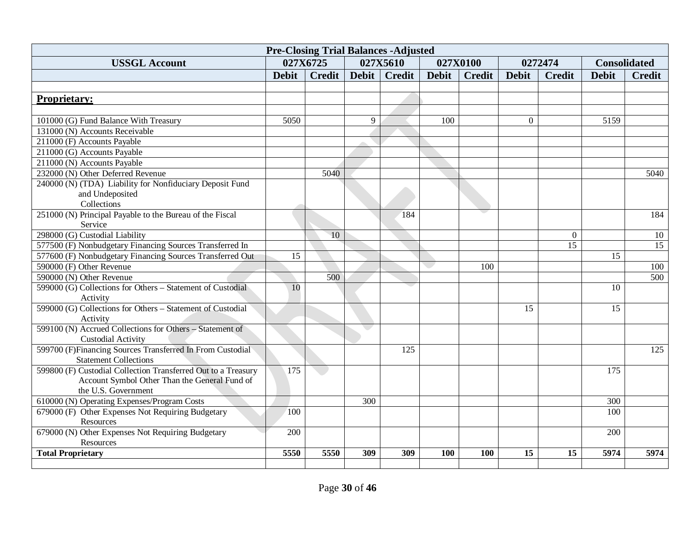| <b>Pre-Closing Trial Balances -Adjusted</b>                    |                  |                 |       |               |              |                     |              |                 |                     |                 |
|----------------------------------------------------------------|------------------|-----------------|-------|---------------|--------------|---------------------|--------------|-----------------|---------------------|-----------------|
| <b>USSGL Account</b>                                           |                  | 027X6725        |       | 027X5610      |              | 027X0100<br>0272474 |              |                 | <b>Consolidated</b> |                 |
|                                                                | <b>Debit</b>     | <b>Credit</b>   | Debit | <b>Credit</b> | <b>Debit</b> | <b>Credit</b>       | <b>Debit</b> | <b>Credit</b>   | <b>Debit</b>        | <b>Credit</b>   |
|                                                                |                  |                 |       |               |              |                     |              |                 |                     |                 |
| <b>Proprietary:</b>                                            |                  |                 |       |               |              |                     |              |                 |                     |                 |
|                                                                |                  |                 |       |               |              |                     |              |                 |                     |                 |
| 101000 (G) Fund Balance With Treasury                          | 5050             |                 | 9     |               | 100          |                     | $\Omega$     |                 | 5159                |                 |
| 131000 (N) Accounts Receivable                                 |                  |                 |       |               |              |                     |              |                 |                     |                 |
| 211000 (F) Accounts Payable                                    |                  |                 |       |               |              |                     |              |                 |                     |                 |
| 211000 (G) Accounts Payable                                    |                  |                 |       |               |              |                     |              |                 |                     |                 |
| 211000 (N) Accounts Payable                                    |                  |                 |       |               |              |                     |              |                 |                     |                 |
| 232000 (N) Other Deferred Revenue                              |                  | 5040            |       |               |              |                     |              |                 |                     | 5040            |
| 240000 (N) (TDA) Liability for Nonfiduciary Deposit Fund       |                  |                 |       |               |              |                     |              |                 |                     |                 |
| and Undeposited                                                |                  |                 |       |               |              |                     |              |                 |                     |                 |
| Collections                                                    |                  |                 |       |               |              |                     |              |                 |                     |                 |
| 251000 (N) Principal Payable to the Bureau of the Fiscal       |                  |                 |       | 184           |              |                     |              |                 |                     | 184             |
| Service                                                        |                  |                 |       |               |              |                     |              |                 |                     |                 |
| 298000 (G) Custodial Liability                                 |                  | $\overline{10}$ |       |               |              |                     |              | $\Omega$        |                     | 10              |
| 577500 (F) Nonbudgetary Financing Sources Transferred In       |                  |                 |       |               |              |                     |              | $\overline{15}$ |                     | $\overline{15}$ |
| 577600 (F) Nonbudgetary Financing Sources Transferred Out      | $\overline{15}$  |                 |       |               |              |                     |              |                 | 15                  |                 |
| 590000 (F) Other Revenue                                       |                  |                 |       |               |              | 100                 |              |                 |                     | 100             |
| 590000 (N) Other Revenue                                       |                  | 500             |       |               |              |                     |              |                 |                     | 500             |
| 599000 (G) Collections for Others - Statement of Custodial     | 10               |                 |       |               |              |                     |              |                 | 10                  |                 |
| Activity                                                       |                  |                 |       |               |              |                     |              |                 |                     |                 |
| 599000 (G) Collections for Others - Statement of Custodial     |                  |                 |       |               |              |                     | 15           |                 | 15                  |                 |
| Activity                                                       |                  |                 |       |               |              |                     |              |                 |                     |                 |
| 599100 (N) Accrued Collections for Others - Statement of       |                  |                 |       |               |              |                     |              |                 |                     |                 |
| <b>Custodial Activity</b>                                      |                  |                 |       |               |              |                     |              |                 |                     |                 |
| 599700 (F)Financing Sources Transferred In From Custodial      |                  |                 |       | 125           |              |                     |              |                 |                     | 125             |
| <b>Statement Collections</b>                                   |                  |                 |       |               |              |                     |              |                 |                     |                 |
| 599800 (F) Custodial Collection Transferred Out to a Treasury  | $\overline{175}$ |                 |       |               |              |                     |              |                 | 175                 |                 |
| Account Symbol Other Than the General Fund of                  |                  |                 |       |               |              |                     |              |                 |                     |                 |
| the U.S. Government                                            |                  |                 |       |               |              |                     |              |                 |                     |                 |
| 610000 (N) Operating Expenses/Program Costs                    |                  |                 | 300   |               |              |                     |              |                 | 300                 |                 |
| 679000 (F) Other Expenses Not Requiring Budgetary              | 100              |                 |       |               |              |                     |              |                 | 100                 |                 |
| Resources<br>679000 (N) Other Expenses Not Requiring Budgetary | 200              |                 |       |               |              |                     |              |                 | 200                 |                 |
| Resources                                                      |                  |                 |       |               |              |                     |              |                 |                     |                 |
| <b>Total Proprietary</b>                                       | 5550             | 5550            | 309   | 309           | 100          | 100                 | 15           | 15              | 5974                | 5974            |
|                                                                |                  |                 |       |               |              |                     |              |                 |                     |                 |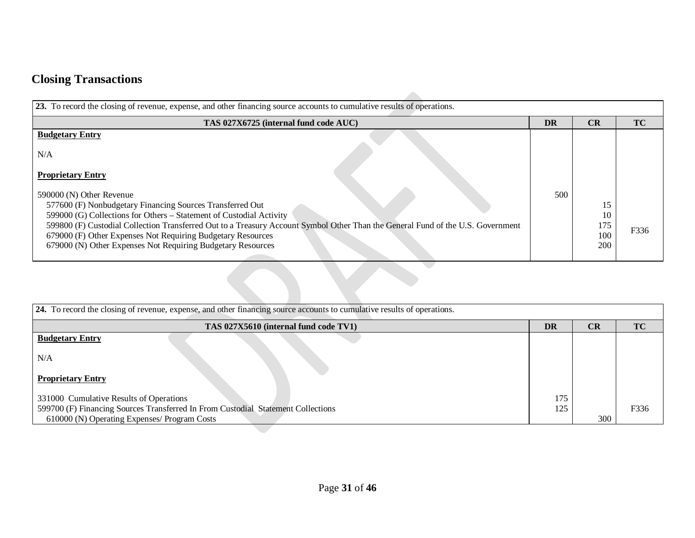# **Closing Transactions**

| TAS 027X6725 (internal fund code AUC)                                                                                                                                                                                                                                                                                                | <b>DR</b> | CR                      | <b>TC</b> |
|--------------------------------------------------------------------------------------------------------------------------------------------------------------------------------------------------------------------------------------------------------------------------------------------------------------------------------------|-----------|-------------------------|-----------|
| <b>Budgetary Entry</b>                                                                                                                                                                                                                                                                                                               |           |                         |           |
| N/A                                                                                                                                                                                                                                                                                                                                  |           |                         |           |
| <b>Proprietary Entry</b>                                                                                                                                                                                                                                                                                                             |           |                         |           |
| 590000 (N) Other Revenue<br>577600 (F) Nonbudgetary Financing Sources Transferred Out                                                                                                                                                                                                                                                | 500       | 15                      |           |
| 599000 (G) Collections for Others - Statement of Custodial Activity<br>599800 (F) Custodial Collection Transferred Out to a Treasury Account Symbol Other Than the General Fund of the U.S. Government<br>679000 (F) Other Expenses Not Requiring Budgetary Resources<br>679000 (N) Other Expenses Not Requiring Budgetary Resources |           | 10<br>175<br>100<br>200 | F336      |
|                                                                                                                                                                                                                                                                                                                                      |           |                         |           |

| 24. To record the closing of revenue, expense, and other financing source accounts to cumulative results of operations. |     |           |           |  |  |  |  |  |
|-------------------------------------------------------------------------------------------------------------------------|-----|-----------|-----------|--|--|--|--|--|
| TAS 027X5610 (internal fund code TV1)                                                                                   | DR  | <b>CR</b> | <b>TC</b> |  |  |  |  |  |
| <b>Budgetary Entry</b>                                                                                                  |     |           |           |  |  |  |  |  |
| N/A                                                                                                                     |     |           |           |  |  |  |  |  |
| <b>Proprietary Entry</b>                                                                                                |     |           |           |  |  |  |  |  |
| 331000 Cumulative Results of Operations                                                                                 | 175 |           |           |  |  |  |  |  |
| 599700 (F) Financing Sources Transferred In From Custodial Statement Collections                                        | 125 |           | F336      |  |  |  |  |  |
| 610000 (N) Operating Expenses/ Program Costs                                                                            |     | 300       |           |  |  |  |  |  |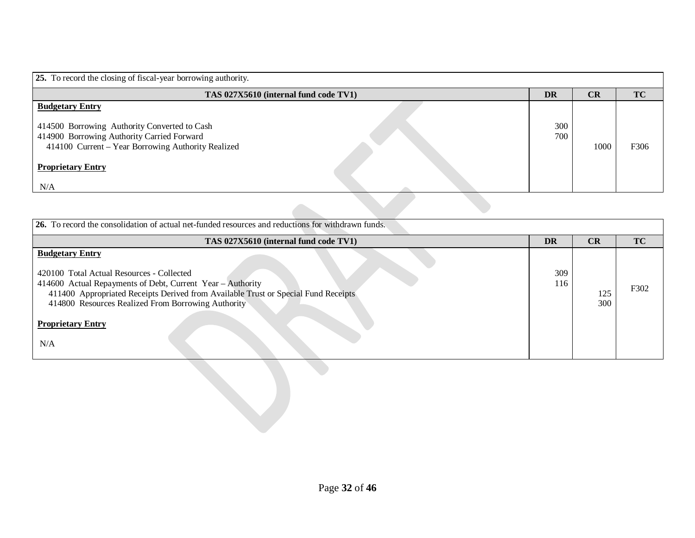| 25. To record the closing of fiscal-year borrowing authority.                                                                                                                                                 |            |      |      |  |  |  |  |  |
|---------------------------------------------------------------------------------------------------------------------------------------------------------------------------------------------------------------|------------|------|------|--|--|--|--|--|
| TAS 027X5610 (internal fund code TV1)                                                                                                                                                                         | <b>DR</b>  | CR   | TC   |  |  |  |  |  |
| <b>Budgetary Entry</b><br>414500 Borrowing Authority Converted to Cash<br>414900 Borrowing Authority Carried Forward<br>414100 Current - Year Borrowing Authority Realized<br><b>Proprietary Entry</b><br>N/A | 300<br>700 | 1000 | F306 |  |  |  |  |  |
|                                                                                                                                                                                                               |            |      |      |  |  |  |  |  |

| 26. To record the consolidation of actual net-funded resources and reductions for withdrawn funds. |           |     |      |  |  |  |  |  |
|----------------------------------------------------------------------------------------------------|-----------|-----|------|--|--|--|--|--|
| TAS 027X5610 (internal fund code TV1)                                                              | <b>DR</b> | CR  | TC   |  |  |  |  |  |
| <b>Budgetary Entry</b>                                                                             |           |     |      |  |  |  |  |  |
| 420100 Total Actual Resources - Collected                                                          | 309       |     |      |  |  |  |  |  |
| 414600 Actual Repayments of Debt, Current Year - Authority                                         | 116       |     | F302 |  |  |  |  |  |
| 411400 Appropriated Receipts Derived from Available Trust or Special Fund Receipts                 |           | 125 |      |  |  |  |  |  |
| 414800 Resources Realized From Borrowing Authority                                                 |           | 300 |      |  |  |  |  |  |
| <b>Proprietary Entry</b><br>N/A                                                                    |           |     |      |  |  |  |  |  |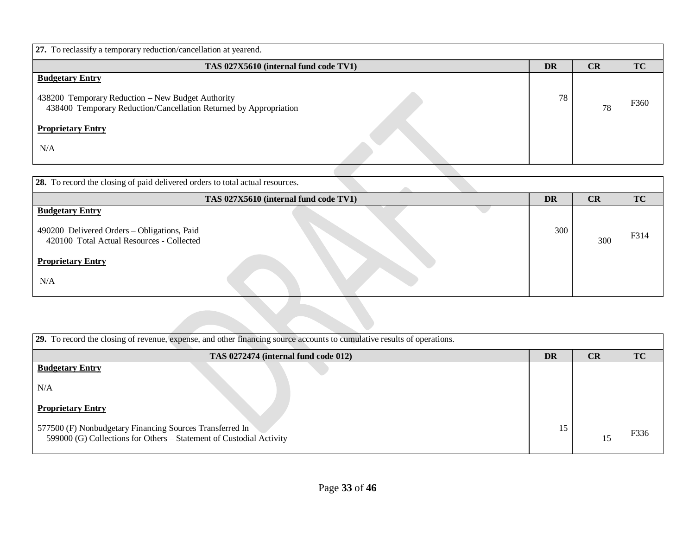| <b>27.</b> To reclassify a temporary reduction/cancellation at yearend.                                                                                                             |    |    |           |
|-------------------------------------------------------------------------------------------------------------------------------------------------------------------------------------|----|----|-----------|
| TAS 027X5610 (internal fund code TV1)                                                                                                                                               | DR | CR | <b>TC</b> |
| <b>Budgetary Entry</b><br>438200 Temporary Reduction - New Budget Authority<br>438400 Temporary Reduction/Cancellation Returned by Appropriation<br><b>Proprietary Entry</b><br>N/A | 78 | 78 | F360      |
|                                                                                                                                                                                     |    |    |           |

| <b>28.</b> To record the closing of paid delivered orders to total actual resources.                               |           |     |      |
|--------------------------------------------------------------------------------------------------------------------|-----------|-----|------|
| TAS 027X5610 (internal fund code TV1)                                                                              | <b>DR</b> | CR  | TC   |
| <b>Budgetary Entry</b><br>490200 Delivered Orders - Obligations, Paid<br>420100 Total Actual Resources - Collected | 300       | 300 | F314 |
| <b>Proprietary Entry</b><br>N/A                                                                                    |           |     |      |
|                                                                                                                    |           |     |      |

| 29. To record the closing of revenue, expense, and other financing source accounts to cumulative results of operations.         |    |    |           |  |  |  |  |  |
|---------------------------------------------------------------------------------------------------------------------------------|----|----|-----------|--|--|--|--|--|
| TAS 0272474 (internal fund code 012)                                                                                            | DR | CR | <b>TC</b> |  |  |  |  |  |
| <b>Budgetary Entry</b>                                                                                                          |    |    |           |  |  |  |  |  |
| N/A                                                                                                                             |    |    |           |  |  |  |  |  |
| <b>Proprietary Entry</b>                                                                                                        |    |    |           |  |  |  |  |  |
| 577500 (F) Nonbudgetary Financing Sources Transferred In<br>599000 (G) Collections for Others – Statement of Custodial Activity | 15 |    | F336      |  |  |  |  |  |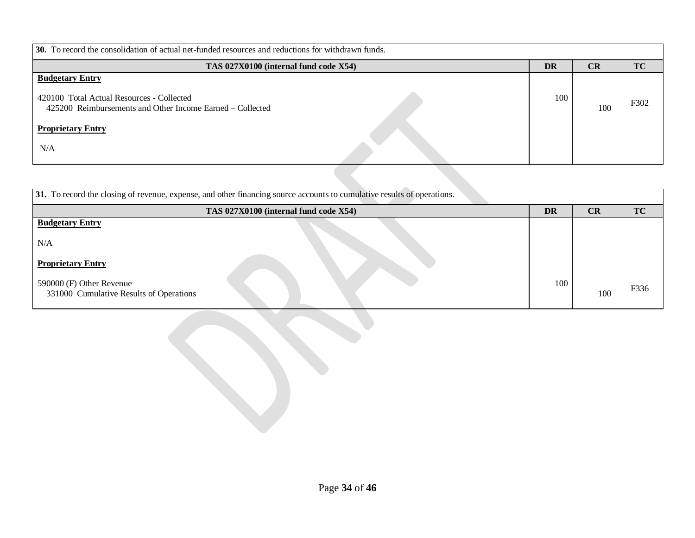| 30. To record the consolidation of actual net-funded resources and reductions for withdrawn funds.                               |           |     |           |  |  |  |  |  |
|----------------------------------------------------------------------------------------------------------------------------------|-----------|-----|-----------|--|--|--|--|--|
| TAS 027X0100 (internal fund code X54)                                                                                            | <b>DR</b> | CR  | <b>TC</b> |  |  |  |  |  |
| <b>Budgetary Entry</b><br>420100 Total Actual Resources - Collected<br>425200 Reimbursements and Other Income Earned – Collected | 100       | 100 | F302      |  |  |  |  |  |
| <b>Proprietary Entry</b><br>N/A                                                                                                  |           |     |           |  |  |  |  |  |

| 31. To record the closing of revenue, expense, and other financing source accounts to cumulative results of operations. |           |     |           |  |  |  |  |  |
|-------------------------------------------------------------------------------------------------------------------------|-----------|-----|-----------|--|--|--|--|--|
| TAS 027X0100 (internal fund code X54)                                                                                   | <b>DR</b> | CR  | <b>TC</b> |  |  |  |  |  |
| <b>Budgetary Entry</b>                                                                                                  |           |     |           |  |  |  |  |  |
| N/A                                                                                                                     |           |     |           |  |  |  |  |  |
| <b>Proprietary Entry</b>                                                                                                |           |     |           |  |  |  |  |  |
| 590000 (F) Other Revenue<br>331000 Cumulative Results of Operations                                                     | 100       | 100 | F336      |  |  |  |  |  |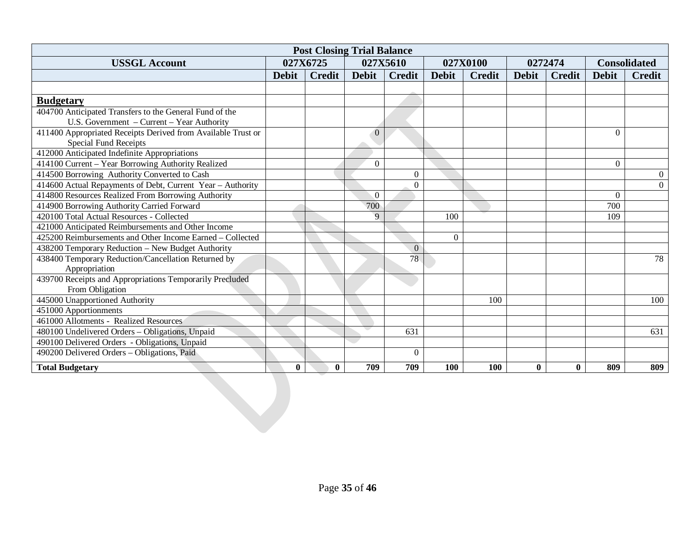| <b>Post Closing Trial Balance</b>                                                            |              |               |                |                  |              |               |              |               |              |                     |
|----------------------------------------------------------------------------------------------|--------------|---------------|----------------|------------------|--------------|---------------|--------------|---------------|--------------|---------------------|
| <b>USSGL Account</b>                                                                         |              | 027X6725      | 027X5610       |                  |              | 027X0100      |              | 0272474       |              | <b>Consolidated</b> |
|                                                                                              | <b>Debit</b> | <b>Credit</b> | <b>Debit</b>   | <b>Credit</b>    | <b>Debit</b> | <b>Credit</b> | <b>Debit</b> | <b>Credit</b> | <b>Debit</b> | <b>Credit</b>       |
|                                                                                              |              |               |                |                  |              |               |              |               |              |                     |
| <b>Budgetary</b>                                                                             |              |               |                |                  |              |               |              |               |              |                     |
| 404700 Anticipated Transfers to the General Fund of the                                      |              |               |                |                  |              |               |              |               |              |                     |
| U.S. Government - Current - Year Authority                                                   |              |               |                |                  |              |               |              |               |              |                     |
| 411400 Appropriated Receipts Derived from Available Trust or<br><b>Special Fund Receipts</b> |              |               | $\overline{0}$ |                  |              |               |              |               | $\Omega$     |                     |
| 412000 Anticipated Indefinite Appropriations                                                 |              |               |                |                  |              |               |              |               |              |                     |
| 414100 Current - Year Borrowing Authority Realized                                           |              |               | $\theta$       |                  |              |               |              |               | $\Omega$     |                     |
| 414500 Borrowing Authority Converted to Cash                                                 |              |               |                | $\Omega$         |              |               |              |               |              | $\Omega$            |
| 414600 Actual Repayments of Debt, Current Year - Authority                                   |              |               |                | $\overline{0}$   |              |               |              |               |              | $\overline{0}$      |
| 414800 Resources Realized From Borrowing Authority                                           |              |               | $\Omega$       |                  |              |               |              |               | $\Omega$     |                     |
| 414900 Borrowing Authority Carried Forward                                                   |              |               | 700            |                  |              |               |              |               | 700          |                     |
| 420100 Total Actual Resources - Collected                                                    |              |               | 9              |                  | 100          |               |              |               | 109          |                     |
| 421000 Anticipated Reimbursements and Other Income                                           |              |               |                |                  |              |               |              |               |              |                     |
| 425200 Reimbursements and Other Income Earned – Collected                                    |              |               |                |                  | $\Omega$     |               |              |               |              |                     |
| 438200 Temporary Reduction - New Budget Authority                                            |              |               |                | $\boldsymbol{0}$ |              |               |              |               |              |                     |
| 438400 Temporary Reduction/Cancellation Returned by                                          |              |               |                | 78               |              |               |              |               |              | 78                  |
| Appropriation                                                                                |              |               |                |                  |              |               |              |               |              |                     |
| 439700 Receipts and Appropriations Temporarily Precluded                                     |              |               |                |                  |              |               |              |               |              |                     |
| From Obligation                                                                              |              |               |                |                  |              |               |              |               |              |                     |
| 445000 Unapportioned Authority                                                               |              |               |                |                  |              | 100           |              |               |              | 100                 |
| 451000 Apportionments                                                                        |              |               |                |                  |              |               |              |               |              |                     |
| 461000 Allotments - Realized Resources                                                       |              |               |                |                  |              |               |              |               |              |                     |
| 480100 Undelivered Orders - Obligations, Unpaid                                              |              |               |                | 631              |              |               |              |               |              | 631                 |
| 490100 Delivered Orders - Obligations, Unpaid                                                |              |               |                |                  |              |               |              |               |              |                     |
| 490200 Delivered Orders - Obligations, Paid                                                  |              |               |                | $\Omega$         |              |               |              |               |              |                     |
| <b>Total Budgetary</b>                                                                       | $\bf{0}$     | $\bf{0}$      | 709            | 709              | 100          | 100           | $\bf{0}$     | $\bf{0}$      | 809          | 809                 |
|                                                                                              |              |               |                |                  |              |               |              |               |              |                     |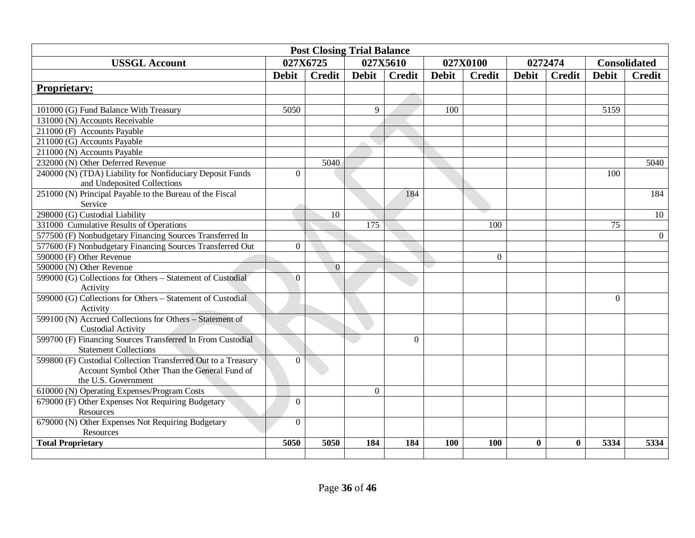| <b>Post Closing Trial Balance</b>                                                      |              |                |                  |               |              |               |              |               |                 |                     |
|----------------------------------------------------------------------------------------|--------------|----------------|------------------|---------------|--------------|---------------|--------------|---------------|-----------------|---------------------|
| <b>USSGL Account</b>                                                                   |              | 027X6725       |                  | 027X5610      |              | 027X0100      |              | 0272474       |                 | <b>Consolidated</b> |
|                                                                                        | <b>Debit</b> | <b>Credit</b>  | <b>Debit</b>     | <b>Credit</b> | <b>Debit</b> | <b>Credit</b> | <b>Debit</b> | <b>Credit</b> | <b>Debit</b>    | <b>Credit</b>       |
| <b>Proprietary:</b>                                                                    |              |                |                  |               |              |               |              |               |                 |                     |
|                                                                                        |              |                |                  |               |              |               |              |               |                 |                     |
| 101000 (G) Fund Balance With Treasury                                                  | 5050         |                | 9                |               | 100          |               |              |               | 5159            |                     |
| 131000 (N) Accounts Receivable                                                         |              |                |                  |               |              |               |              |               |                 |                     |
| 211000 (F) Accounts Payable                                                            |              |                |                  |               |              |               |              |               |                 |                     |
| 211000 (G) Accounts Payable                                                            |              |                |                  |               |              |               |              |               |                 |                     |
| 211000 (N) Accounts Payable                                                            |              |                |                  |               |              |               |              |               |                 |                     |
| 232000 (N) Other Deferred Revenue                                                      |              | 5040           |                  |               |              |               |              |               |                 | 5040                |
| 240000 (N) (TDA) Liability for Nonfiduciary Deposit Funds                              | $\Omega$     |                |                  |               |              |               |              |               | 100             |                     |
| and Undeposited Collections                                                            |              |                |                  |               |              |               |              |               |                 |                     |
| 251000 (N) Principal Payable to the Bureau of the Fiscal                               |              |                |                  | 184           |              |               |              |               |                 | 184                 |
| Service                                                                                |              |                |                  |               |              |               |              |               |                 |                     |
| 298000 (G) Custodial Liability                                                         |              | 10             | $\overline{175}$ |               |              |               |              |               | $\overline{75}$ | 10                  |
| 331000 Cumulative Results of Operations                                                |              |                |                  |               |              | 100           |              |               |                 |                     |
| 577500 (F) Nonbudgetary Financing Sources Transferred In                               | $\Omega$     |                |                  |               |              |               |              |               |                 | $\theta$            |
| 577600 (F) Nonbudgetary Financing Sources Transferred Out                              |              |                |                  |               |              | $\Omega$      |              |               |                 |                     |
| 590000 (F) Other Revenue                                                               |              |                |                  |               |              |               |              |               |                 |                     |
| 590000 (N) Other Revenue<br>599000 (G) Collections for Others - Statement of Custodial | $\Omega$     | $\overline{0}$ |                  |               |              |               |              |               |                 |                     |
| Activity                                                                               |              |                |                  |               |              |               |              |               |                 |                     |
| 599000 (G) Collections for Others - Statement of Custodial                             |              |                |                  |               |              |               |              |               | $\Omega$        |                     |
| Activity                                                                               |              |                |                  |               |              |               |              |               |                 |                     |
| 599100 (N) Accrued Collections for Others - Statement of                               |              |                |                  |               |              |               |              |               |                 |                     |
| <b>Custodial Activity</b>                                                              |              |                |                  |               |              |               |              |               |                 |                     |
| 599700 (F) Financing Sources Transferred In From Custodial                             |              |                |                  | $\Omega$      |              |               |              |               |                 |                     |
| <b>Statement Collections</b>                                                           |              |                |                  |               |              |               |              |               |                 |                     |
| 599800 (F) Custodial Collection Transferred Out to a Treasury                          | $\Omega$     |                |                  |               |              |               |              |               |                 |                     |
| Account Symbol Other Than the General Fund of                                          |              |                |                  |               |              |               |              |               |                 |                     |
| the U.S. Government                                                                    |              |                |                  |               |              |               |              |               |                 |                     |
| 610000 (N) Operating Expenses/Program Costs                                            |              |                | $\overline{0}$   |               |              |               |              |               |                 |                     |
| 679000 (F) Other Expenses Not Requiring Budgetary                                      |              |                |                  |               |              |               |              |               |                 |                     |
| Resources                                                                              |              |                |                  |               |              |               |              |               |                 |                     |
| 679000 (N) Other Expenses Not Requiring Budgetary                                      | $\Omega$     |                |                  |               |              |               |              |               |                 |                     |
| Resources                                                                              |              |                |                  |               |              |               |              |               |                 |                     |
| <b>Total Proprietary</b>                                                               | 5050         | 5050           | 184              | 184           | 100          | 100           | $\bf{0}$     | $\bf{0}$      | 5334            | 5334                |
|                                                                                        |              |                |                  |               |              |               |              |               |                 |                     |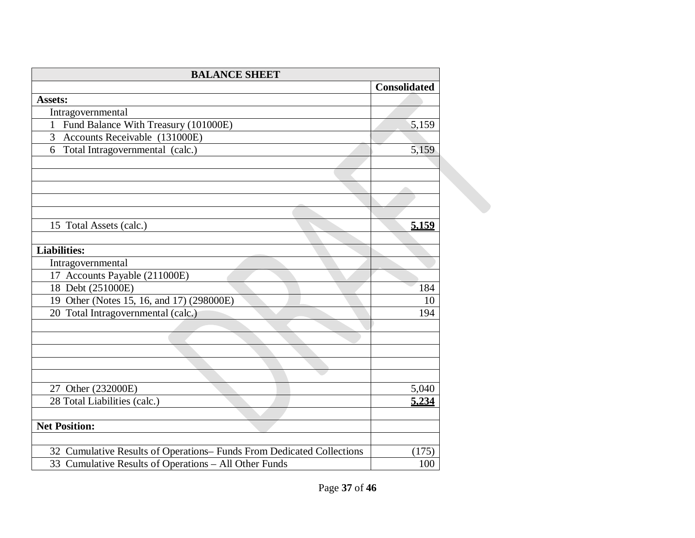| <b>BALANCE SHEET</b>                                                  |                     |
|-----------------------------------------------------------------------|---------------------|
|                                                                       | <b>Consolidated</b> |
| <b>Assets:</b>                                                        |                     |
| Intragovernmental                                                     |                     |
| 1 Fund Balance With Treasury (101000E)                                | 5,159               |
| Accounts Receivable (131000E)<br>$\overline{3}$                       |                     |
| Total Intragovernmental (calc.)<br>6                                  | 5,159               |
|                                                                       |                     |
|                                                                       |                     |
|                                                                       |                     |
|                                                                       |                     |
| 15 Total Assets (calc.)                                               | 5.159               |
| <b>Liabilities:</b>                                                   |                     |
| Intragovernmental                                                     |                     |
| 17 Accounts Payable (211000E)                                         |                     |
| 18 Debt (251000E)                                                     | 184                 |
| 19 Other (Notes 15, 16, and 17) (298000E)                             | 10                  |
| 20 Total Intragovernmental (calc.)                                    | 194                 |
|                                                                       |                     |
|                                                                       |                     |
|                                                                       |                     |
| 27 Other (232000E)                                                    | 5,040               |
| 28 Total Liabilities (calc.)                                          | 5.234               |
| <b>Net Position:</b>                                                  |                     |
| 32 Cumulative Results of Operations- Funds From Dedicated Collections | (175)               |
| 33 Cumulative Results of Operations - All Other Funds                 | 100                 |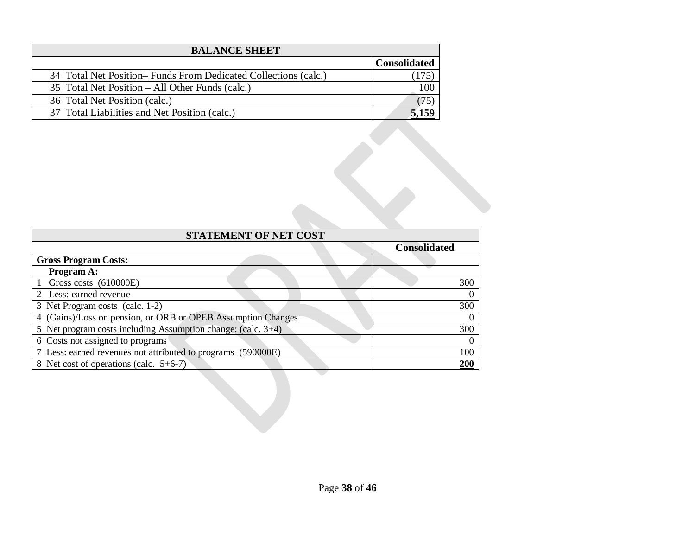| <b>BALANCE SHEET</b>                                            |                     |
|-----------------------------------------------------------------|---------------------|
|                                                                 | <b>Consolidated</b> |
| 34 Total Net Position– Funds From Dedicated Collections (calc.) |                     |
| 35 Total Net Position – All Other Funds (calc.)                 | 100                 |
| 36 Total Net Position (calc.)                                   | 75                  |
| 37 Total Liabilities and Net Position (calc.)                   |                     |

| <b>STATEMENT OF NET COST</b>                                 |                     |  |  |  |
|--------------------------------------------------------------|---------------------|--|--|--|
|                                                              | <b>Consolidated</b> |  |  |  |
| <b>Gross Program Costs:</b>                                  |                     |  |  |  |
| Program A:                                                   |                     |  |  |  |
| Gross costs (610000E)                                        | 300                 |  |  |  |
| 2 Less: earned revenue                                       |                     |  |  |  |
| 3 Net Program costs (calc. 1-2)                              | 300                 |  |  |  |
| 4 (Gains)/Loss on pension, or ORB or OPEB Assumption Changes |                     |  |  |  |
| 5 Net program costs including Assumption change: (calc. 3+4) | 300                 |  |  |  |
| 6 Costs not assigned to programs                             |                     |  |  |  |
| 7 Less: earned revenues not attributed to programs (590000E) | 100                 |  |  |  |
| 8 Net cost of operations (calc. 5+6-7)                       | 200                 |  |  |  |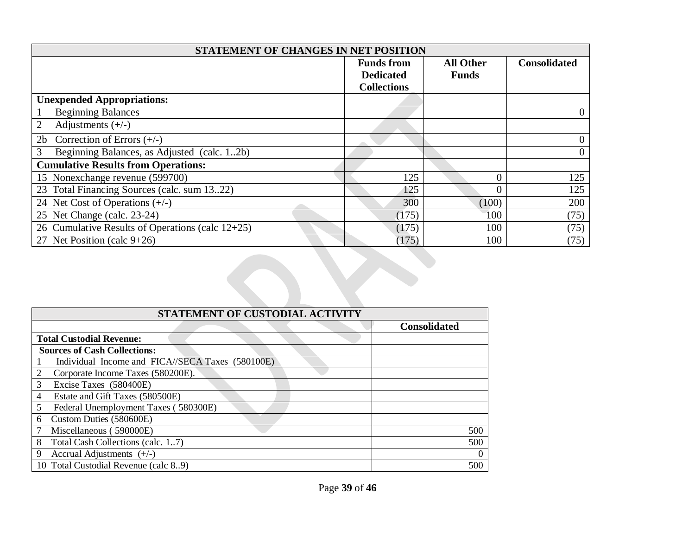| STATEMENT OF CHANGES IN NET POSITION                |                    |                  |                     |  |
|-----------------------------------------------------|--------------------|------------------|---------------------|--|
|                                                     | <b>Funds from</b>  | <b>All Other</b> | <b>Consolidated</b> |  |
|                                                     | <b>Dedicated</b>   | <b>Funds</b>     |                     |  |
|                                                     | <b>Collections</b> |                  |                     |  |
| <b>Unexpended Appropriations:</b>                   |                    |                  |                     |  |
| <b>Beginning Balances</b>                           |                    |                  | $\overline{0}$      |  |
| Adjustments $(+/-)$                                 |                    |                  |                     |  |
| Correction of Errors $(+/-)$<br>2 <sub>b</sub>      |                    |                  | $\mathbf{0}$        |  |
| Beginning Balances, as Adjusted (calc. 12b)<br>3    |                    |                  | $\overline{0}$      |  |
| <b>Cumulative Results from Operations:</b>          |                    |                  |                     |  |
| 15 Nonexchange revenue (599700)                     | 125                | 0                | 125                 |  |
| 23 Total Financing Sources (calc. sum 1322)         | 125                | 0                | 125                 |  |
| 24 Net Cost of Operations $(+/-)$                   | 300                | (100)            | 200                 |  |
| 25 Net Change (calc. 23-24)                         | (175)              | 100              | (75)                |  |
| 26 Cumulative Results of Operations (calc $12+25$ ) | (175)              | 100              | (75)                |  |
| 27 Net Position (calc 9+26)                         | (175)              | 100              | (75)                |  |

| STATEMENT OF CUSTODIAL ACTIVITY                  |                     |  |  |  |
|--------------------------------------------------|---------------------|--|--|--|
|                                                  | <b>Consolidated</b> |  |  |  |
| <b>Total Custodial Revenue:</b>                  |                     |  |  |  |
| <b>Sources of Cash Collections:</b>              |                     |  |  |  |
| Individual Income and FICA//SECA Taxes (580100E) |                     |  |  |  |
| 2<br>Corporate Income Taxes (580200E).           |                     |  |  |  |
| 3<br>Excise Taxes (580400E)                      |                     |  |  |  |
| Estate and Gift Taxes (580500E)<br>4             |                     |  |  |  |
| Federal Unemployment Taxes (580300E)<br>5        |                     |  |  |  |
| Custom Duties (580600E)<br>6                     |                     |  |  |  |
| Miscellaneous (590000E)                          | 500                 |  |  |  |
| 8<br>Total Cash Collections (calc. 17)           | 500                 |  |  |  |
| 9<br>Accrual Adjustments $(+/-)$                 | $\theta$            |  |  |  |
| 10 Total Custodial Revenue (calc 89)             | 500                 |  |  |  |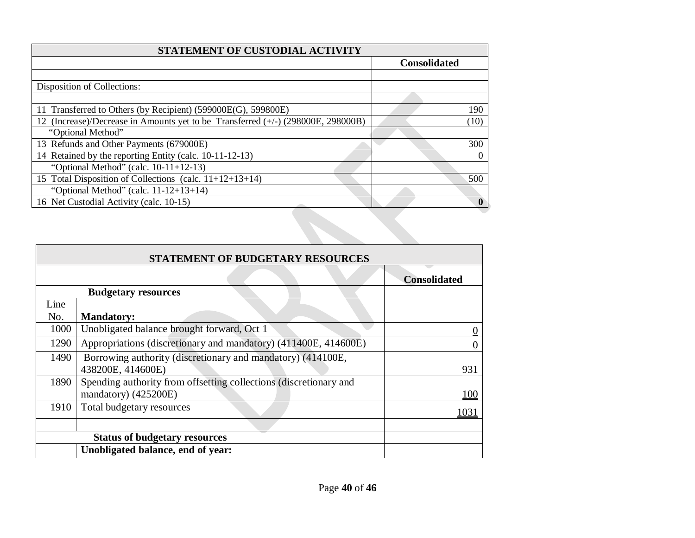| STATEMENT OF CUSTODIAL ACTIVITY                                                  |                     |
|----------------------------------------------------------------------------------|---------------------|
|                                                                                  | <b>Consolidated</b> |
|                                                                                  |                     |
| Disposition of Collections:                                                      |                     |
|                                                                                  |                     |
| 11 Transferred to Others (by Recipient) (599000E(G), 599800E)                    | 190                 |
| 12 (Increase)/Decrease in Amounts yet to be Transferred (+/-) (298000E, 298000B) | (10)                |
| "Optional Method"                                                                |                     |
| 13 Refunds and Other Payments (679000E)                                          | 300                 |
| 14 Retained by the reporting Entity (calc. 10-11-12-13)                          |                     |
| "Optional Method" (calc. $10-11+12-13$ )                                         |                     |
| 15 Total Disposition of Collections (calc. 11+12+13+14)                          | 500                 |
| "Optional Method" (calc. $11-12+13+14$ )                                         |                     |
| 16 Net Custodial Activity (calc. 10-15)                                          |                     |

|      | STATEMENT OF BUDGETARY RESOURCES                                  |                     |  |  |  |
|------|-------------------------------------------------------------------|---------------------|--|--|--|
|      |                                                                   | <b>Consolidated</b> |  |  |  |
|      | <b>Budgetary resources</b>                                        |                     |  |  |  |
| Line |                                                                   |                     |  |  |  |
| No.  | <b>Mandatory:</b>                                                 |                     |  |  |  |
| 1000 | Unobligated balance brought forward, Oct 1                        |                     |  |  |  |
| 1290 | Appropriations (discretionary and mandatory) (411400E, 414600E)   | 0                   |  |  |  |
| 1490 | Borrowing authority (discretionary and mandatory) (414100E,       |                     |  |  |  |
|      | 438200E, 414600E)                                                 | 931                 |  |  |  |
| 1890 | Spending authority from offsetting collections (discretionary and |                     |  |  |  |
|      | mandatory) (425200E)                                              | <b>100</b>          |  |  |  |
| 1910 | Total budgetary resources                                         | 1031                |  |  |  |
|      |                                                                   |                     |  |  |  |
|      | <b>Status of budgetary resources</b>                              |                     |  |  |  |
|      | Unobligated balance, end of year:                                 |                     |  |  |  |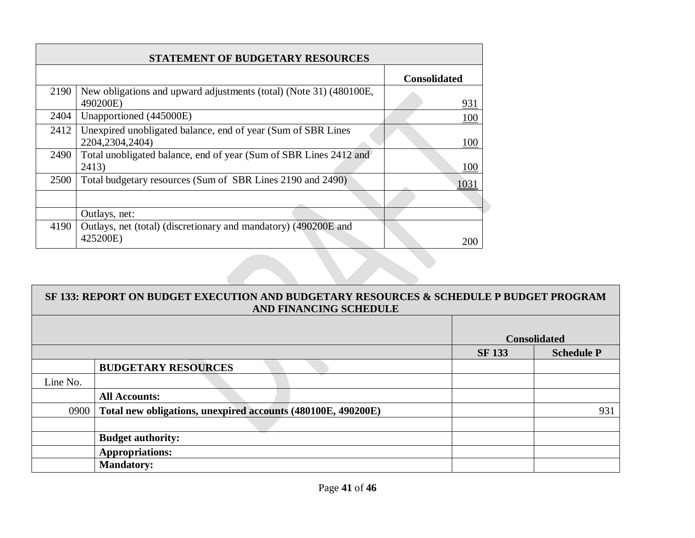| <b>STATEMENT OF BUDGETARY RESOURCES</b> |                                                                                    |                     |  |  |
|-----------------------------------------|------------------------------------------------------------------------------------|---------------------|--|--|
|                                         |                                                                                    | <b>Consolidated</b> |  |  |
| 2190                                    | New obligations and upward adjustments (total) (Note 31) (480100E,<br>490200E)     | 931                 |  |  |
| 2404                                    | Unapportioned (445000E)                                                            | 100                 |  |  |
| 2412                                    | Unexpired unobligated balance, end of year (Sum of SBR Lines)<br>2204, 2304, 2404) | 100                 |  |  |
| 2490                                    | Total unobligated balance, end of year (Sum of SBR Lines 2412 and<br>2413)         | 100                 |  |  |
| 2500                                    | Total budgetary resources (Sum of SBR Lines 2190 and 2490)                         | 1031                |  |  |
|                                         |                                                                                    |                     |  |  |
|                                         | Outlays, net:                                                                      |                     |  |  |
| 4190                                    | Outlays, net (total) (discretionary and mandatory) (490200E and<br>425200E)        | 200                 |  |  |

 $\Box$ 

| SF 133: REPORT ON BUDGET EXECUTION AND BUDGETARY RESOURCES & SCHEDULE P BUDGET PROGRAM<br>AND FINANCING SCHEDULE |                                                              |               |                     |  |
|------------------------------------------------------------------------------------------------------------------|--------------------------------------------------------------|---------------|---------------------|--|
|                                                                                                                  |                                                              |               | <b>Consolidated</b> |  |
|                                                                                                                  |                                                              | <b>SF 133</b> | <b>Schedule P</b>   |  |
|                                                                                                                  | <b>BUDGETARY RESOURCES</b>                                   |               |                     |  |
| Line No.                                                                                                         |                                                              |               |                     |  |
|                                                                                                                  | <b>All Accounts:</b>                                         |               |                     |  |
| 0900                                                                                                             | Total new obligations, unexpired accounts (480100E, 490200E) |               | 931                 |  |
|                                                                                                                  |                                                              |               |                     |  |
|                                                                                                                  | <b>Budget authority:</b>                                     |               |                     |  |
|                                                                                                                  | <b>Appropriations:</b>                                       |               |                     |  |
|                                                                                                                  | <b>Mandatory:</b>                                            |               |                     |  |

J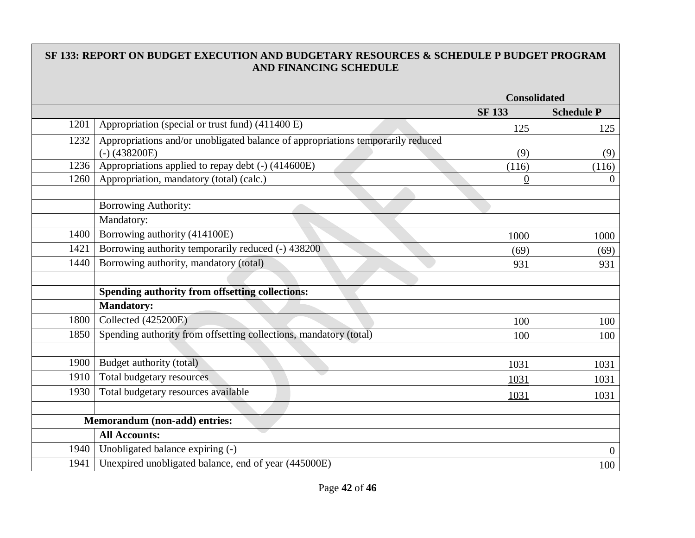|      | SF 133: REPORT ON BUDGET EXECUTION AND BUDGETARY RESOURCES & SCHEDULE P BUDGET PROGRAM<br><b>AND FINANCING SCHEDULE</b> |                     |                   |
|------|-------------------------------------------------------------------------------------------------------------------------|---------------------|-------------------|
|      |                                                                                                                         |                     |                   |
|      |                                                                                                                         | <b>Consolidated</b> |                   |
|      |                                                                                                                         | <b>SF133</b>        | <b>Schedule P</b> |
| 1201 | Appropriation (special or trust fund) (411400 E)                                                                        | 125                 | 125               |
| 1232 | Appropriations and/or unobligated balance of appropriations temporarily reduced<br>$(-)$ (438200E)                      | (9)                 | (9)               |
| 1236 | Appropriations applied to repay debt (-) (414600E)                                                                      | (116)               | (116)             |
| 1260 | Appropriation, mandatory (total) (calc.)                                                                                | $\theta$            | $\Omega$          |
|      |                                                                                                                         |                     |                   |
|      | Borrowing Authority:                                                                                                    |                     |                   |
|      | Mandatory:                                                                                                              |                     |                   |
| 1400 | Borrowing authority (414100E)                                                                                           | 1000                | 1000              |
| 1421 | Borrowing authority temporarily reduced (-) 438200                                                                      | (69)                | (69)              |
| 1440 | Borrowing authority, mandatory (total)                                                                                  | 931                 | 931               |
|      |                                                                                                                         |                     |                   |
|      | Spending authority from offsetting collections:                                                                         |                     |                   |
|      | <b>Mandatory:</b>                                                                                                       |                     |                   |
| 1800 | Collected (425200E)                                                                                                     | 100                 | 100               |
| 1850 | Spending authority from offsetting collections, mandatory (total)                                                       | 100                 | 100               |
|      |                                                                                                                         |                     |                   |
| 1900 | Budget authority (total)                                                                                                | 1031                | 1031              |
| 1910 | Total budgetary resources                                                                                               | 1031                | 1031              |
| 1930 | Total budgetary resources available                                                                                     | 1031                | 1031              |
|      |                                                                                                                         |                     |                   |
|      | Memorandum (non-add) entries:                                                                                           |                     |                   |
|      | <b>All Accounts:</b>                                                                                                    |                     |                   |
| 1940 | Unobligated balance expiring (-)                                                                                        |                     | $\theta$          |
| 1941 | Unexpired unobligated balance, end of year (445000E)                                                                    |                     | 100               |

 $\Box$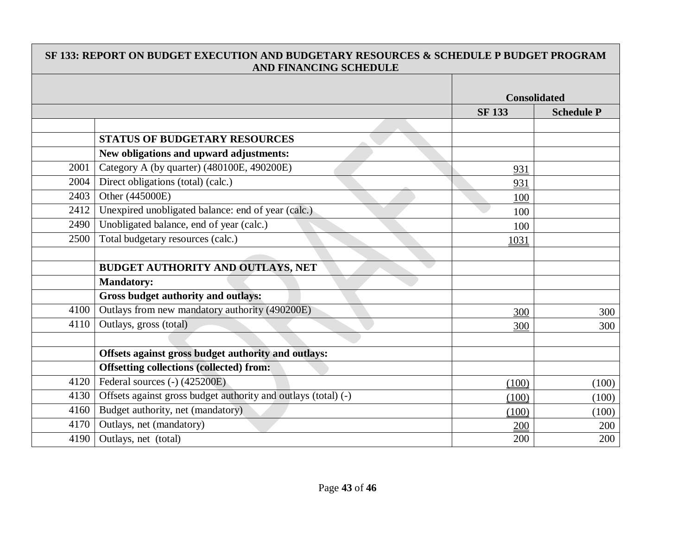|      | SF 133: REPORT ON BUDGET EXECUTION AND BUDGETARY RESOURCES & SCHEDULE P BUDGET PROGRAM<br>AND FINANCING SCHEDULE |                     |                   |
|------|------------------------------------------------------------------------------------------------------------------|---------------------|-------------------|
|      |                                                                                                                  | <b>Consolidated</b> |                   |
|      |                                                                                                                  | <b>SF 133</b>       | <b>Schedule P</b> |
|      |                                                                                                                  |                     |                   |
|      | <b>STATUS OF BUDGETARY RESOURCES</b>                                                                             |                     |                   |
|      | New obligations and upward adjustments:                                                                          |                     |                   |
| 2001 | Category A (by quarter) (480100E, 490200E)                                                                       | 931                 |                   |
| 2004 | Direct obligations (total) (calc.)                                                                               | 931                 |                   |
| 2403 | Other (445000E)                                                                                                  | 100                 |                   |
| 2412 | Unexpired unobligated balance: end of year (calc.)                                                               | 100                 |                   |
| 2490 | Unobligated balance, end of year (calc.)                                                                         | 100                 |                   |
| 2500 | Total budgetary resources (calc.)                                                                                | 1031                |                   |
|      |                                                                                                                  |                     |                   |
|      | <b>BUDGET AUTHORITY AND OUTLAYS, NET</b>                                                                         |                     |                   |
|      | <b>Mandatory:</b>                                                                                                |                     |                   |
|      | Gross budget authority and outlays:                                                                              |                     |                   |
| 4100 | Outlays from new mandatory authority (490200E)                                                                   | 300                 | 300               |
| 4110 | Outlays, gross (total)                                                                                           | 300                 | 300               |
|      |                                                                                                                  |                     |                   |
|      | Offsets against gross budget authority and outlays:                                                              |                     |                   |
|      | <b>Offsetting collections (collected) from:</b>                                                                  |                     |                   |
| 4120 | Federal sources (-) (425200E)                                                                                    | (100)               | (100)             |
| 4130 | Offsets against gross budget authority and outlays (total) (-)                                                   | (100)               | (100)             |
| 4160 | Budget authority, net (mandatory)                                                                                | (100)               | (100)             |
| 4170 | Outlays, net (mandatory)                                                                                         | 200                 | 200               |
| 4190 | Outlays, net (total)                                                                                             | 200                 | 200               |

Г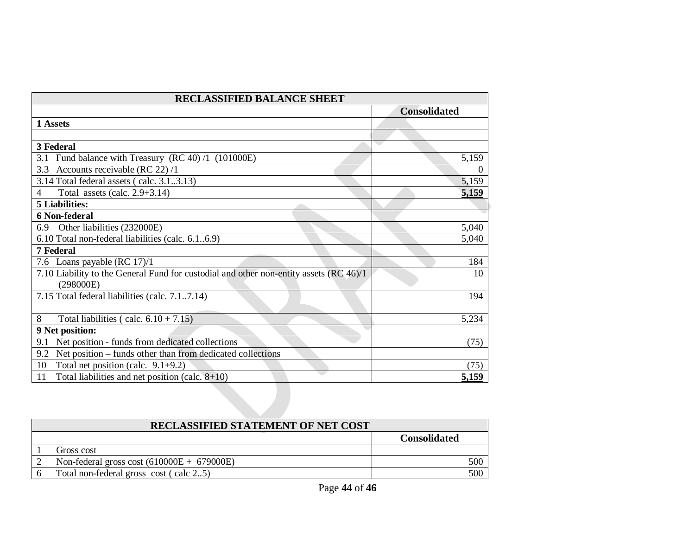| <b>RECLASSIFIED BALANCE SHEET</b>                                                                   |                     |  |  |
|-----------------------------------------------------------------------------------------------------|---------------------|--|--|
|                                                                                                     | <b>Consolidated</b> |  |  |
| 1 Assets                                                                                            |                     |  |  |
|                                                                                                     |                     |  |  |
| 3 Federal                                                                                           |                     |  |  |
| 3.1 Fund balance with Treasury (RC 40) /1 (101000E)                                                 | 5,159               |  |  |
| 3.3 Accounts receivable (RC 22) /1                                                                  |                     |  |  |
| 3.14 Total federal assets (calc. 3.13.13)                                                           | 5,159               |  |  |
| Total assets (calc. $2.9+3.14$ )<br>4                                                               | 5,159               |  |  |
| <b>5 Liabilities:</b>                                                                               |                     |  |  |
| <b>6 Non-federal</b>                                                                                |                     |  |  |
| Other liabilities (232000E)<br>6.9                                                                  | 5,040               |  |  |
| 6.10 Total non-federal liabilities (calc. 6.16.9)                                                   | 5,040               |  |  |
| <b>7 Federal</b>                                                                                    |                     |  |  |
| 7.6 Loans payable (RC 17)/1                                                                         | 184                 |  |  |
| 7.10 Liability to the General Fund for custodial and other non-entity assets (RC 46)/1<br>(298000E) | 10                  |  |  |
| 7.15 Total federal liabilities (calc. 7.17.14)                                                      | 194                 |  |  |
| 8<br>Total liabilities (calc. $6.10 + 7.15$ )                                                       | 5,234               |  |  |
| 9 Net position:                                                                                     |                     |  |  |
| Net position - funds from dedicated collections<br>9.1                                              | (75)                |  |  |
| Net position – funds other than from dedicated collections<br>9.2                                   |                     |  |  |
| Total net position (calc. $9.1+9.2$ )<br>10                                                         | (75)                |  |  |
| Total liabilities and net position (calc. $8+10$ )<br>11                                            | 5,159               |  |  |

| <b>RECLASSIFIED STATEMENT OF NET COST</b> |                                              |                     |  |  |
|-------------------------------------------|----------------------------------------------|---------------------|--|--|
|                                           |                                              | <b>Consolidated</b> |  |  |
|                                           | Gross cost                                   |                     |  |  |
|                                           | Non-federal gross cost $(610000E + 679000E)$ | 500                 |  |  |
|                                           | Total non-federal gross cost (calc 25)       | 500                 |  |  |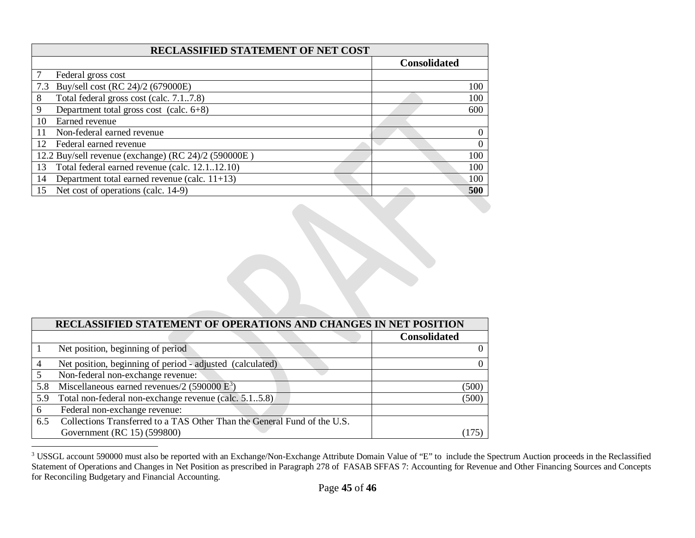<span id="page-44-0"></span>

| <b>RECLASSIFIED STATEMENT OF NET COST</b>              |                     |  |  |  |
|--------------------------------------------------------|---------------------|--|--|--|
|                                                        | <b>Consolidated</b> |  |  |  |
| Federal gross cost                                     |                     |  |  |  |
| Buy/sell cost (RC 24)/2 (679000E)<br>7.3               | 100                 |  |  |  |
| Total federal gross cost (calc. 7.17.8)<br>8           | 100                 |  |  |  |
| Department total gross cost (calc. $6+8$ )<br>9        | 600                 |  |  |  |
| Earned revenue<br>10                                   |                     |  |  |  |
| Non-federal earned revenue                             | $\Omega$            |  |  |  |
| Federal earned revenue<br>12                           | $\theta$            |  |  |  |
| 12.2 Buy/sell revenue (exchange) (RC 24)/2 (590000E)   | 100                 |  |  |  |
| Total federal earned revenue (calc. 12.1.12.10)<br>13  | 100                 |  |  |  |
| Department total earned revenue (calc. $11+13$ )<br>14 | 100                 |  |  |  |
| Net cost of operations (calc. 14-9)<br>15              | 500                 |  |  |  |

|     | RECLASSIFIED STATEMENT OF OPERATIONS AND CHANGES IN NET POSITION         |                     |  |
|-----|--------------------------------------------------------------------------|---------------------|--|
|     |                                                                          | <b>Consolidated</b> |  |
|     | Net position, beginning of period                                        |                     |  |
| 4   | Net position, beginning of period - adjusted (calculated)                |                     |  |
|     | Non-federal non-exchange revenue:                                        |                     |  |
| 5.8 | Miscellaneous earned revenues/2 (590000 $E^3$ )                          | (500)               |  |
| 5.9 | Total non-federal non-exchange revenue (calc. 5.15.8)                    | (500)               |  |
| 6   | Federal non-exchange revenue:                                            |                     |  |
| 6.5 | Collections Transferred to a TAS Other Than the General Fund of the U.S. |                     |  |
|     | Government (RC 15) (599800)                                              |                     |  |

<sup>&</sup>lt;sup>3</sup> USSGL account 590000 must also be reported with an Exchange/Non-Exchange Attribute Domain Value of "E" to include the Spectrum Auction proceeds in the Reclassified Statement of Operations and Changes in Net Position as prescribed in Paragraph 278 of FASAB SFFAS 7: Accounting for Revenue and Other Financing Sources and Concepts for Reconciling Budgetary and Financial Accounting.